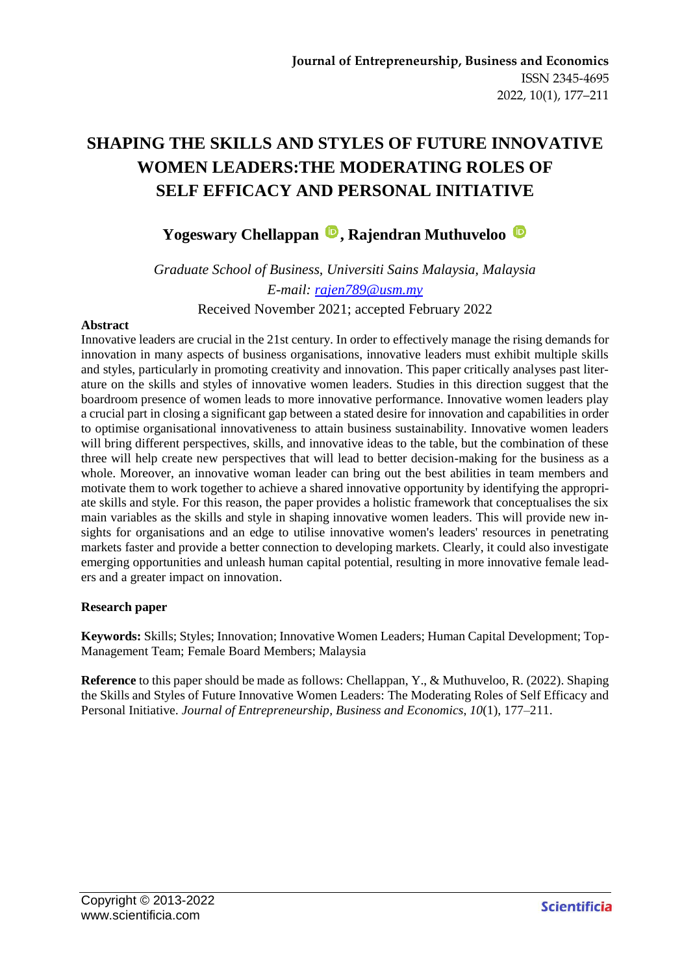# **SHAPING THE SKILLS AND STYLES OF FUTURE INNOVATIVE WOMEN LEADERS:THE MODERATING ROLES OF SELF EFFICACY AND PERSONAL INITIATIVE**

# Yogeswary Chellappan<sup>**D**</sup>, Rajendran Muthuveloo<sup>D</sup>

*Graduate School of Business, Universiti Sains Malaysia, Malaysia E-mail: [rajen789@usm.my](mailto:rajen789@usm.my)* Received November 2021; accepted February 2022

#### **Abstract**

Innovative leaders are crucial in the 21st century. In order to effectively manage the rising demands for innovation in many aspects of business organisations, innovative leaders must exhibit multiple skills and styles, particularly in promoting creativity and innovation. This paper critically analyses past literature on the skills and styles of innovative women leaders. Studies in this direction suggest that the boardroom presence of women leads to more innovative performance. Innovative women leaders play a crucial part in closing a significant gap between a stated desire for innovation and capabilities in order to optimise organisational innovativeness to attain business sustainability. Innovative women leaders will bring different perspectives, skills, and innovative ideas to the table, but the combination of these three will help create new perspectives that will lead to better decision-making for the business as a whole. Moreover, an innovative woman leader can bring out the best abilities in team members and motivate them to work together to achieve a shared innovative opportunity by identifying the appropriate skills and style. For this reason, the paper provides a holistic framework that conceptualises the six main variables as the skills and style in shaping innovative women leaders. This will provide new insights for organisations and an edge to utilise innovative women's leaders' resources in penetrating markets faster and provide a better connection to developing markets. Clearly, it could also investigate emerging opportunities and unleash human capital potential, resulting in more innovative female leaders and a greater impact on innovation.

#### **Research paper**

**Keywords:** Skills; Styles; Innovation; Innovative Women Leaders; Human Capital Development; Top-Management Team; Female Board Members; Malaysia

**Reference** to this paper should be made as follows: Chellappan, Y., & Muthuveloo, R. (2022). Shaping the Skills and Styles of Future Innovative Women Leaders: The Moderating Roles of Self Efficacy and Personal Initiative. *Journal of Entrepreneurship, Business and Economics*, *10*(1), 177–211.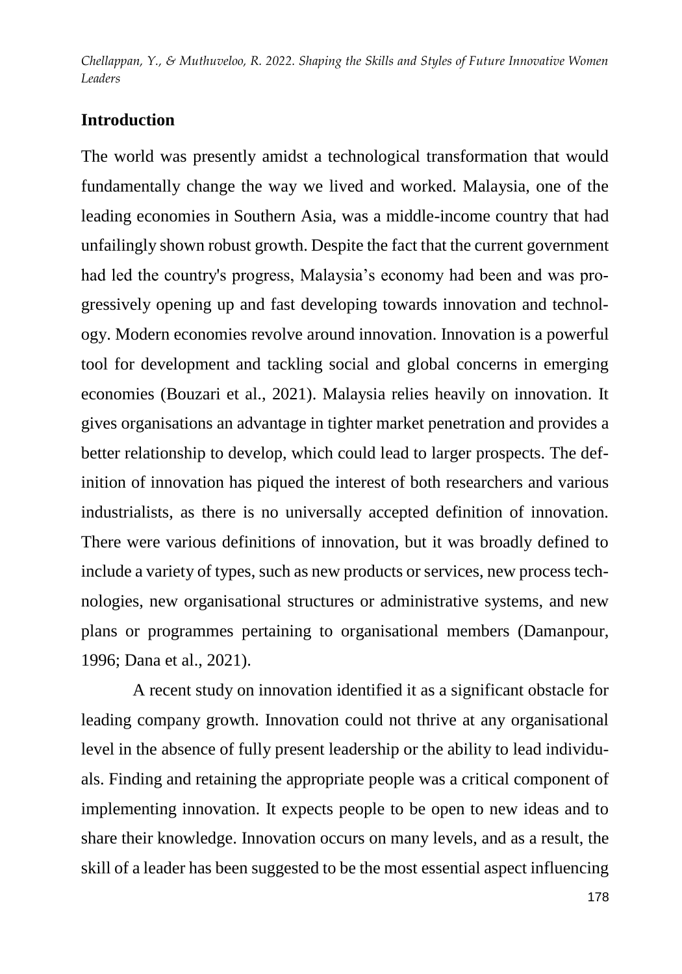## **Introduction**

The world was presently amidst a technological transformation that would fundamentally change the way we lived and worked. Malaysia, one of the leading economies in Southern Asia, was a middle-income country that had unfailingly shown robust growth. Despite the fact that the current government had led the country's progress, Malaysia's economy had been and was progressively opening up and fast developing towards innovation and technology. Modern economies revolve around innovation. Innovation is a powerful tool for development and tackling social and global concerns in emerging economies (Bouzari et al., 2021). Malaysia relies heavily on innovation. It gives organisations an advantage in tighter market penetration and provides a better relationship to develop, which could lead to larger prospects. The definition of innovation has piqued the interest of both researchers and various industrialists, as there is no universally accepted definition of innovation. There were various definitions of innovation, but it was broadly defined to include a variety of types, such as new products or services, new process technologies, new organisational structures or administrative systems, and new plans or programmes pertaining to organisational members (Damanpour, 1996; Dana et al., 2021).

A recent study on innovation identified it as a significant obstacle for leading company growth. Innovation could not thrive at any organisational level in the absence of fully present leadership or the ability to lead individuals. Finding and retaining the appropriate people was a critical component of implementing innovation. It expects people to be open to new ideas and to share their knowledge. Innovation occurs on many levels, and as a result, the skill of a leader has been suggested to be the most essential aspect influencing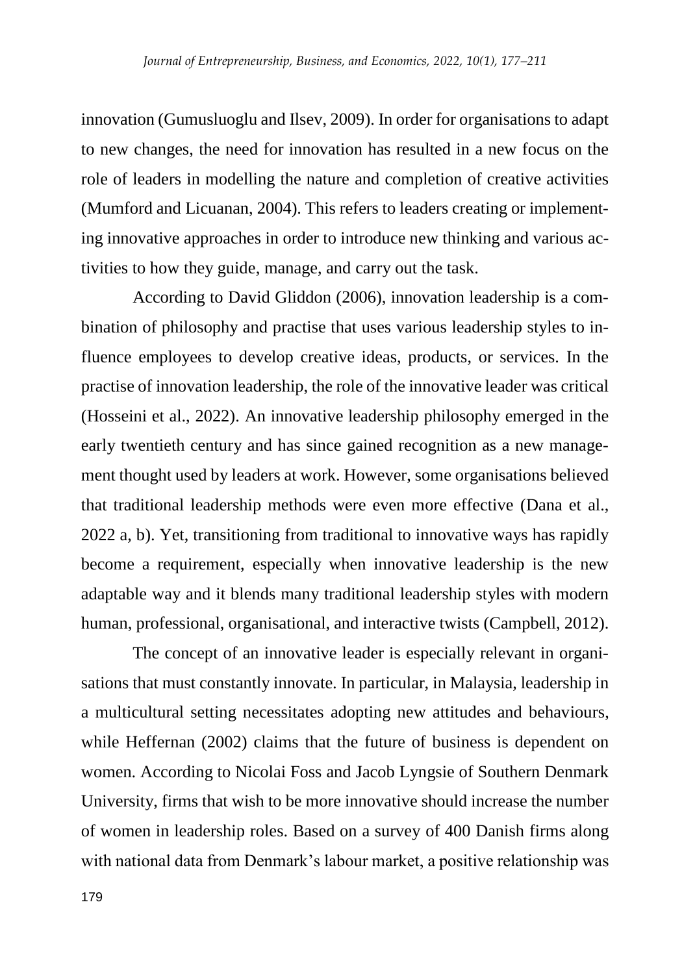innovation (Gumusluoglu and Ilsev, 2009). In order for organisations to adapt to new changes, the need for innovation has resulted in a new focus on the role of leaders in modelling the nature and completion of creative activities (Mumford and Licuanan, 2004). This refers to leaders creating or implementing innovative approaches in order to introduce new thinking and various activities to how they guide, manage, and carry out the task.

According to David Gliddon (2006), innovation leadership is a combination of philosophy and practise that uses various leadership styles to influence employees to develop creative ideas, products, or services. In the practise of innovation leadership, the role of the innovative leader was critical (Hosseini et al., 2022). An innovative leadership philosophy emerged in the early twentieth century and has since gained recognition as a new management thought used by leaders at work. However, some organisations believed that traditional leadership methods were even more effective (Dana et al., 2022 a, b). Yet, transitioning from traditional to innovative ways has rapidly become a requirement, especially when innovative leadership is the new adaptable way and it blends many traditional leadership styles with modern human, professional, organisational, and interactive twists (Campbell, 2012).

The concept of an innovative leader is especially relevant in organisations that must constantly innovate. In particular, in Malaysia, leadership in a multicultural setting necessitates adopting new attitudes and behaviours, while Heffernan (2002) claims that the future of business is dependent on women. According to Nicolai Foss and Jacob Lyngsie of Southern Denmark University, firms that wish to be more innovative should increase the number of women in leadership roles. Based on a survey of 400 Danish firms along with national data from Denmark's labour market, a positive relationship was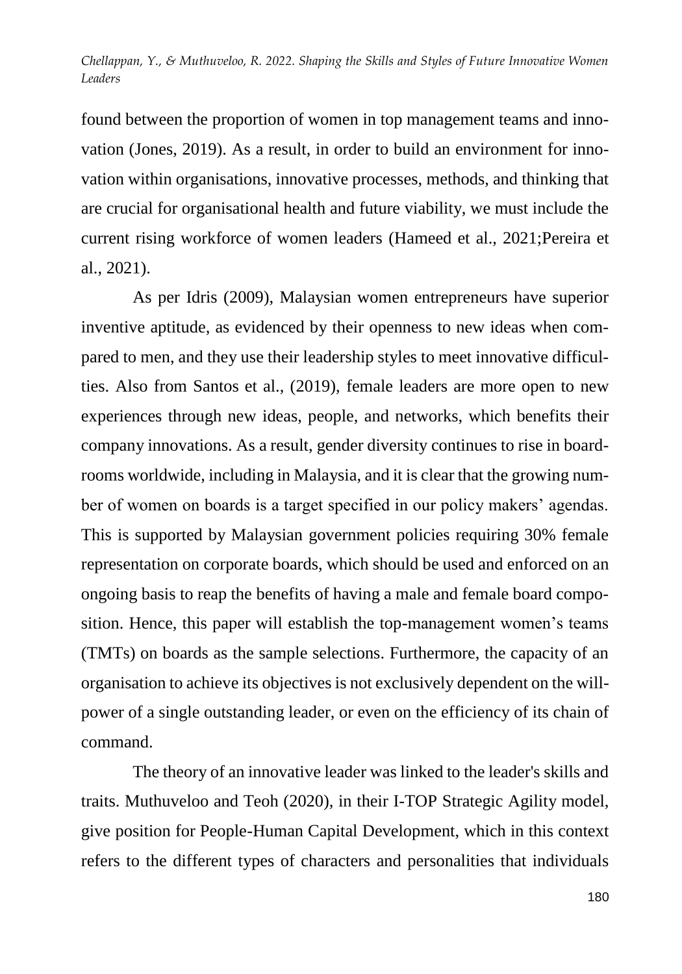found between the proportion of women in top management teams and innovation (Jones, 2019). As a result, in order to build an environment for innovation within organisations, innovative processes, methods, and thinking that are crucial for organisational health and future viability, we must include the current rising workforce of women leaders (Hameed et al., 2021;Pereira et al., 2021).

As per Idris (2009), Malaysian women entrepreneurs have superior inventive aptitude, as evidenced by their openness to new ideas when compared to men, and they use their leadership styles to meet innovative difficulties. Also from Santos et al., (2019), female leaders are more open to new experiences through new ideas, people, and networks, which benefits their company innovations. As a result, gender diversity continues to rise in boardrooms worldwide, including in Malaysia, and it is clear that the growing number of women on boards is a target specified in our policy makers' agendas. This is supported by Malaysian government policies requiring 30% female representation on corporate boards, which should be used and enforced on an ongoing basis to reap the benefits of having a male and female board composition. Hence, this paper will establish the top-management women's teams (TMTs) on boards as the sample selections. Furthermore, the capacity of an organisation to achieve its objectives is not exclusively dependent on the willpower of a single outstanding leader, or even on the efficiency of its chain of command.

The theory of an innovative leader was linked to the leader's skills and traits. Muthuveloo and Teoh (2020), in their I-TOP Strategic Agility model, give position for People-Human Capital Development, which in this context refers to the different types of characters and personalities that individuals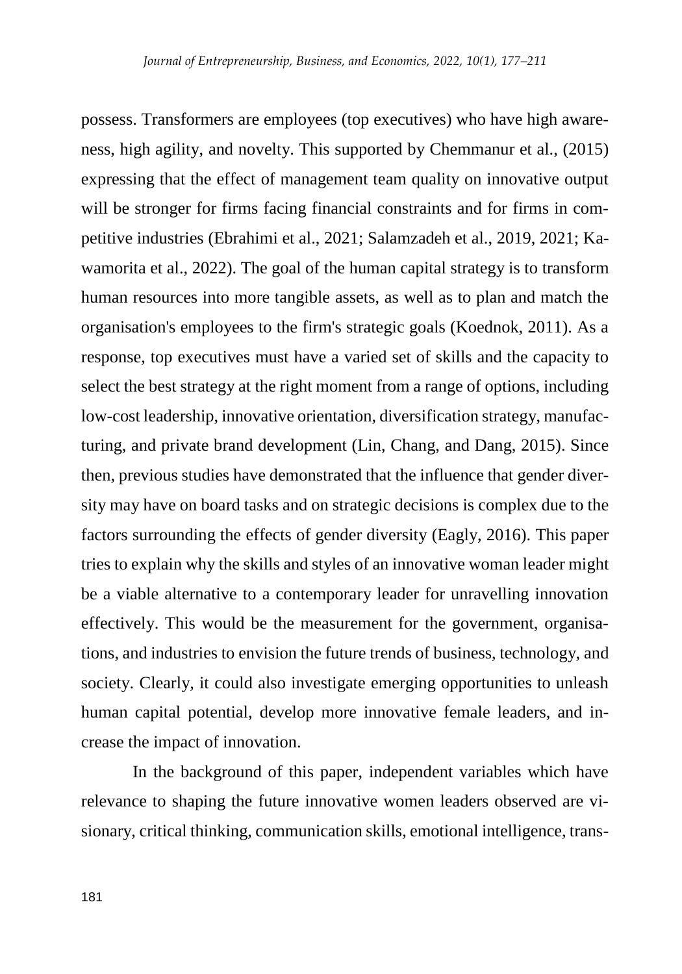possess. Transformers are employees (top executives) who have high awareness, high agility, and novelty. This supported by Chemmanur et al., (2015) expressing that the effect of management team quality on innovative output will be stronger for firms facing financial constraints and for firms in competitive industries (Ebrahimi et al., 2021; Salamzadeh et al., 2019, 2021; Kawamorita et al., 2022). The goal of the human capital strategy is to transform human resources into more tangible assets, as well as to plan and match the organisation's employees to the firm's strategic goals (Koednok, 2011). As a response, top executives must have a varied set of skills and the capacity to select the best strategy at the right moment from a range of options, including low-cost leadership, innovative orientation, diversification strategy, manufacturing, and private brand development (Lin, Chang, and Dang, 2015). Since then, previous studies have demonstrated that the influence that gender diversity may have on board tasks and on strategic decisions is complex due to the factors surrounding the effects of gender diversity (Eagly, 2016). This paper tries to explain why the skills and styles of an innovative woman leader might be a viable alternative to a contemporary leader for unravelling innovation effectively. This would be the measurement for the government, organisations, and industries to envision the future trends of business, technology, and society. Clearly, it could also investigate emerging opportunities to unleash human capital potential, develop more innovative female leaders, and increase the impact of innovation.

In the background of this paper, independent variables which have relevance to shaping the future innovative women leaders observed are visionary, critical thinking, communication skills, emotional intelligence, trans-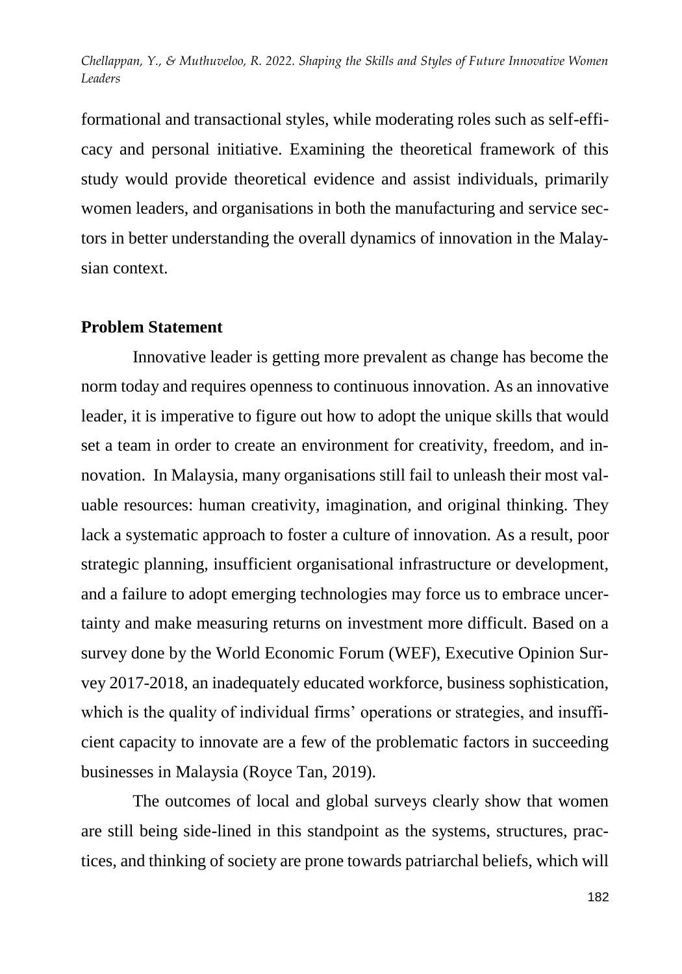formational and transactional styles, while moderating roles such as self-efficacy and personal initiative. Examining the theoretical framework of this study would provide theoretical evidence and assist individuals, primarily women leaders, and organisations in both the manufacturing and service sectors in better understanding the overall dynamics of innovation in the Malaysian context.

#### **Problem Statement**

Innovative leader is getting more prevalent as change has become the norm today and requires openness to continuous innovation. As an innovative leader, it is imperative to figure out how to adopt the unique skills that would set a team in order to create an environment for creativity, freedom, and innovation. In Malaysia, many organisations still fail to unleash their most valuable resources: human creativity, imagination, and original thinking. They lack a systematic approach to foster a culture of innovation. As a result, poor strategic planning, insufficient organisational infrastructure or development, and a failure to adopt emerging technologies may force us to embrace uncertainty and make measuring returns on investment more difficult. Based on a survey done by the World Economic Forum (WEF), Executive Opinion Survey 2017-2018, an inadequately educated workforce, business sophistication, which is the quality of individual firms' operations or strategies, and insufficient capacity to innovate are a few of the problematic factors in succeeding businesses in Malaysia (Royce Tan, 2019).

The outcomes of local and global surveys clearly show that women are still being side-lined in this standpoint as the systems, structures, practices, and thinking of society are prone towards patriarchal beliefs, which will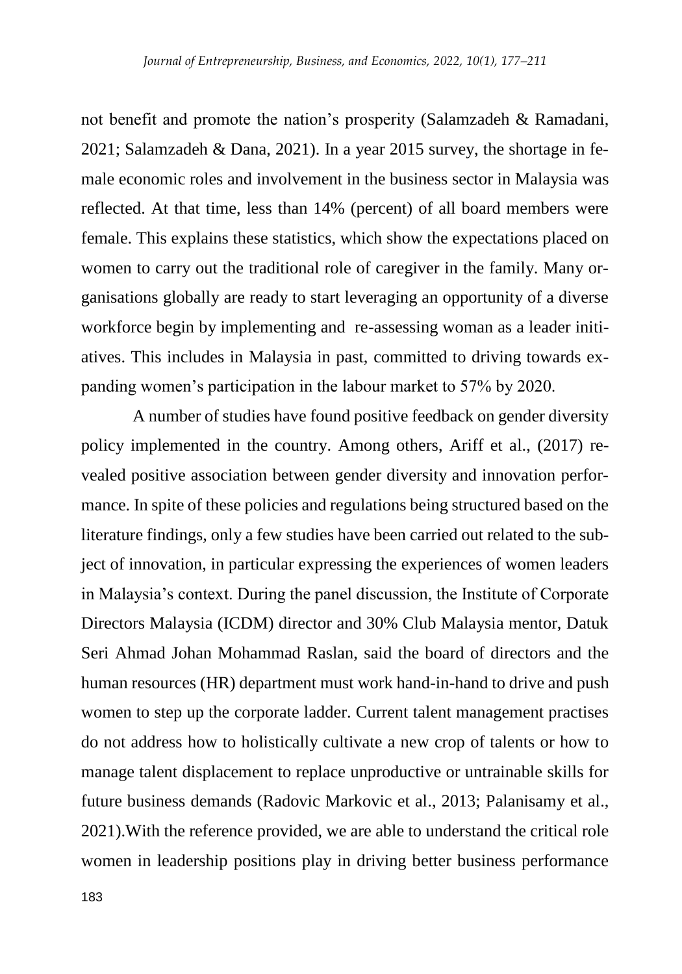not benefit and promote the nation's prosperity (Salamzadeh & Ramadani, 2021; Salamzadeh & Dana, 2021). In a year 2015 survey, the shortage in female economic roles and involvement in the business sector in Malaysia was reflected. At that time, less than 14% (percent) of all board members were female. This explains these statistics, which show the expectations placed on women to carry out the traditional role of caregiver in the family. Many organisations globally are ready to start leveraging an opportunity of a diverse workforce begin by implementing and re-assessing woman as a leader initiatives. This includes in Malaysia in past, committed to driving towards expanding women's participation in the labour market to 57% by 2020.

A number of studies have found positive feedback on gender diversity policy implemented in the country. Among others, Ariff et al., (2017) revealed positive association between gender diversity and innovation performance. In spite of these policies and regulations being structured based on the literature findings, only a few studies have been carried out related to the subject of innovation, in particular expressing the experiences of women leaders in Malaysia's context. During the panel discussion, the Institute of Corporate Directors Malaysia (ICDM) director and 30% Club Malaysia mentor, Datuk Seri Ahmad Johan Mohammad Raslan, said the board of directors and the human resources (HR) department must work hand-in-hand to drive and push women to step up the corporate ladder. Current talent management practises do not address how to holistically cultivate a new crop of talents or how to manage talent displacement to replace unproductive or untrainable skills for future business demands (Radovic Markovic et al., 2013; Palanisamy et al., 2021).With the reference provided, we are able to understand the critical role women in leadership positions play in driving better business performance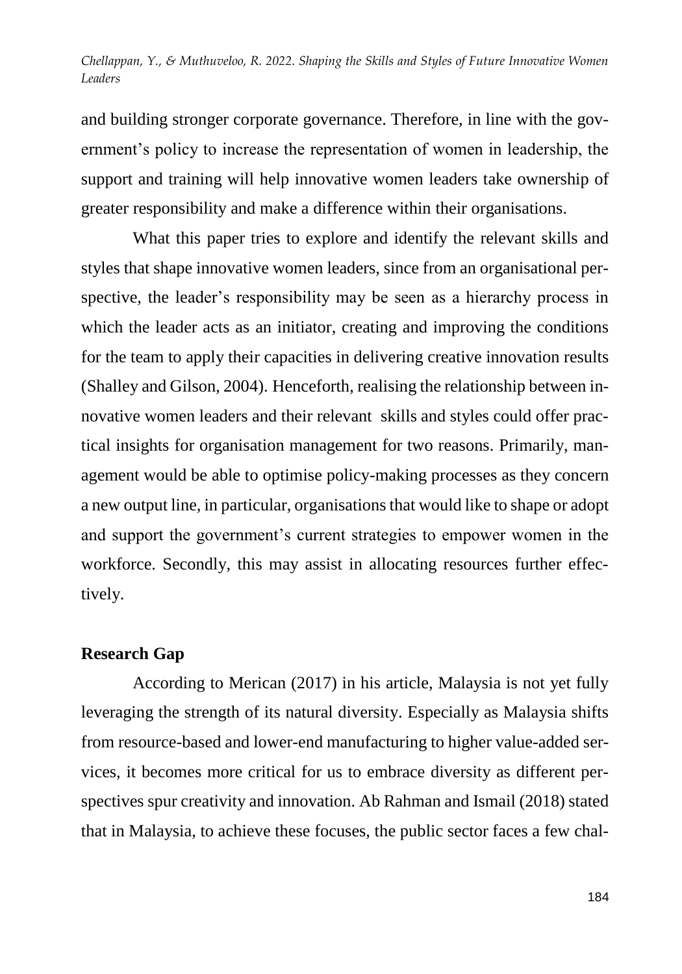and building stronger corporate governance. Therefore, in line with the government's policy to increase the representation of women in leadership, the support and training will help innovative women leaders take ownership of greater responsibility and make a difference within their organisations.

What this paper tries to explore and identify the relevant skills and styles that shape innovative women leaders, since from an organisational perspective, the leader's responsibility may be seen as a hierarchy process in which the leader acts as an initiator, creating and improving the conditions for the team to apply their capacities in delivering creative innovation results (Shalley and Gilson, 2004). Henceforth, realising the relationship between innovative women leaders and their relevant skills and styles could offer practical insights for organisation management for two reasons. Primarily, management would be able to optimise policy-making processes as they concern a new output line, in particular, organisations that would like to shape or adopt and support the government's current strategies to empower women in the workforce. Secondly, this may assist in allocating resources further effectively.

### **Research Gap**

According to Merican (2017) in his article, Malaysia is not yet fully leveraging the strength of its natural diversity. Especially as Malaysia shifts from resource-based and lower-end manufacturing to higher value-added services, it becomes more critical for us to embrace diversity as different perspectives spur creativity and innovation. Ab Rahman and Ismail (2018) stated that in Malaysia, to achieve these focuses, the public sector faces a few chal-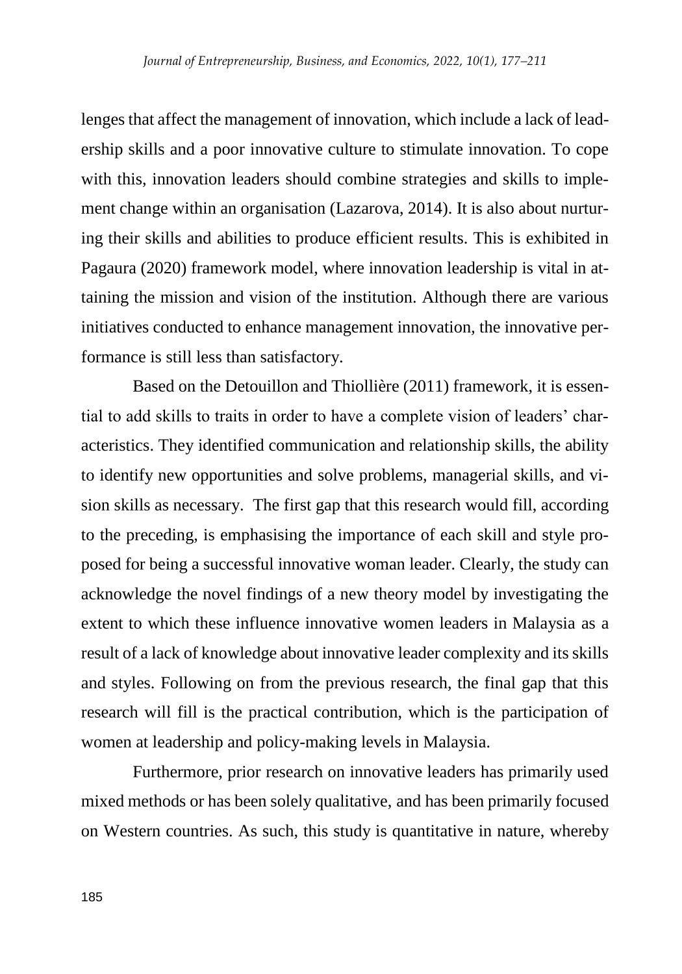lenges that affect the management of innovation, which include a lack of leadership skills and a poor innovative culture to stimulate innovation. To cope with this, innovation leaders should combine strategies and skills to implement change within an organisation (Lazarova, 2014). It is also about nurturing their skills and abilities to produce efficient results. This is exhibited in Pagaura (2020) framework model, where innovation leadership is vital in attaining the mission and vision of the institution. Although there are various initiatives conducted to enhance management innovation, the innovative performance is still less than satisfactory.

Based on the Detouillon and Thiollière (2011) framework, it is essential to add skills to traits in order to have a complete vision of leaders' characteristics. They identified communication and relationship skills, the ability to identify new opportunities and solve problems, managerial skills, and vision skills as necessary. The first gap that this research would fill, according to the preceding, is emphasising the importance of each skill and style proposed for being a successful innovative woman leader. Clearly, the study can acknowledge the novel findings of a new theory model by investigating the extent to which these influence innovative women leaders in Malaysia as a result of a lack of knowledge about innovative leader complexity and its skills and styles. Following on from the previous research, the final gap that this research will fill is the practical contribution, which is the participation of women at leadership and policy-making levels in Malaysia.

Furthermore, prior research on innovative leaders has primarily used mixed methods or has been solely qualitative, and has been primarily focused on Western countries. As such, this study is quantitative in nature, whereby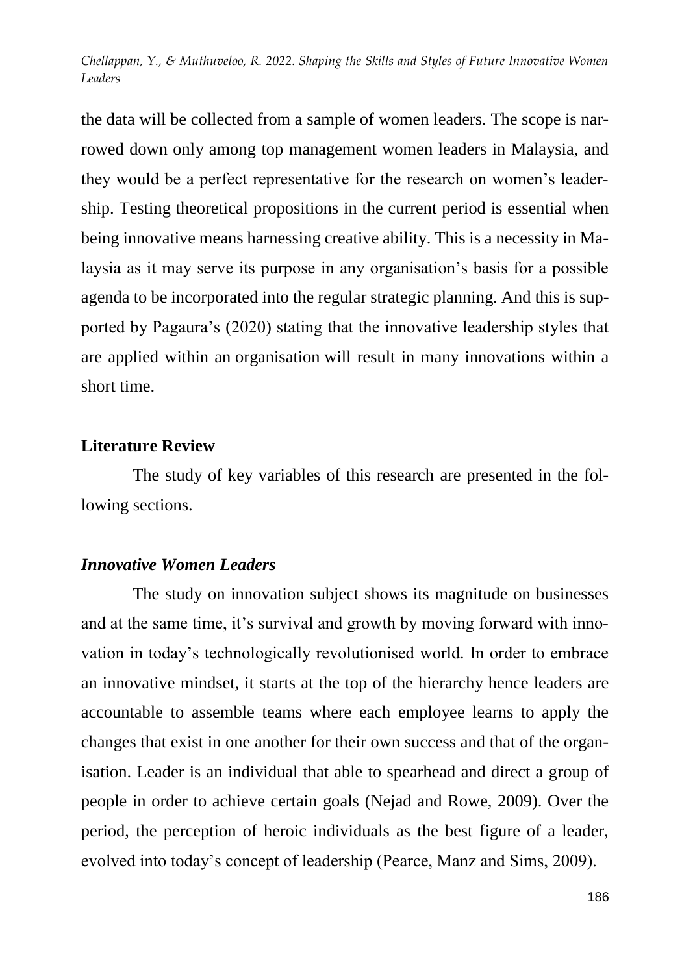the data will be collected from a sample of women leaders. The scope is narrowed down only among top management women leaders in Malaysia, and they would be a perfect representative for the research on women's leadership. Testing theoretical propositions in the current period is essential when being innovative means harnessing creative ability. This is a necessity in Malaysia as it may serve its purpose in any organisation's basis for a possible agenda to be incorporated into the regular strategic planning. And this is supported by Pagaura's (2020) stating that the innovative leadership styles that are applied within an organisation will result in many innovations within a short time.

#### **Literature Review**

The study of key variables of this research are presented in the following sections.

### *Innovative Women Leaders*

The study on innovation subject shows its magnitude on businesses and at the same time, it's survival and growth by moving forward with innovation in today's technologically revolutionised world. In order to embrace an innovative mindset, it starts at the top of the hierarchy hence leaders are accountable to assemble teams where each employee learns to apply the changes that exist in one another for their own success and that of the organisation. Leader is an individual that able to spearhead and direct a group of people in order to achieve certain goals (Nejad and Rowe, 2009). Over the period, the perception of heroic individuals as the best figure of a leader, evolved into today's concept of leadership (Pearce, Manz and Sims, 2009).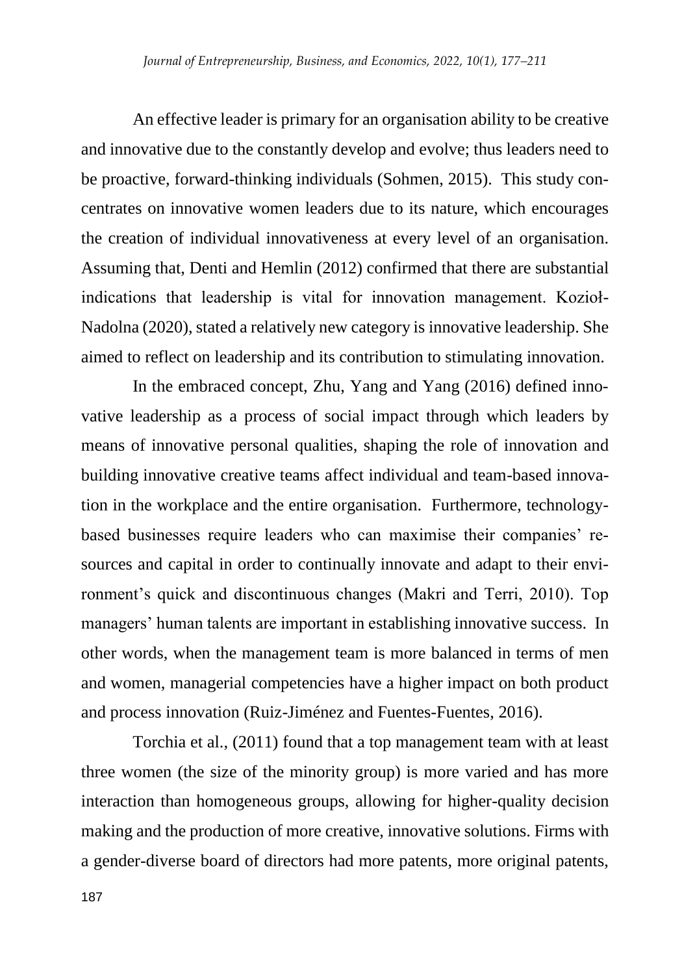An effective leader is primary for an organisation ability to be creative and innovative due to the constantly develop and evolve; thus leaders need to be proactive, forward-thinking individuals (Sohmen, 2015). This study concentrates on innovative women leaders due to its nature, which encourages the creation of individual innovativeness at every level of an organisation. Assuming that, Denti and Hemlin (2012) confirmed that there are substantial indications that leadership is vital for innovation management. Kozioł-Nadolna (2020), stated a relatively new category is innovative leadership. She aimed to reflect on leadership and its contribution to stimulating innovation.

In the embraced concept, Zhu, Yang and Yang (2016) defined innovative leadership as a process of social impact through which leaders by means of innovative personal qualities, shaping the role of innovation and building innovative creative teams affect individual and team-based innovation in the workplace and the entire organisation. Furthermore, technologybased businesses require leaders who can maximise their companies' resources and capital in order to continually innovate and adapt to their environment's quick and discontinuous changes (Makri and Terri, 2010). Top managers' human talents are important in establishing innovative success. In other words, when the management team is more balanced in terms of men and women, managerial competencies have a higher impact on both product and process innovation (Ruiz-Jiménez and Fuentes-Fuentes, 2016).

Torchia et al., (2011) found that a top management team with at least three women (the size of the minority group) is more varied and has more interaction than homogeneous groups, allowing for higher-quality decision making and the production of more creative, innovative solutions. Firms with a gender-diverse board of directors had more patents, more original patents,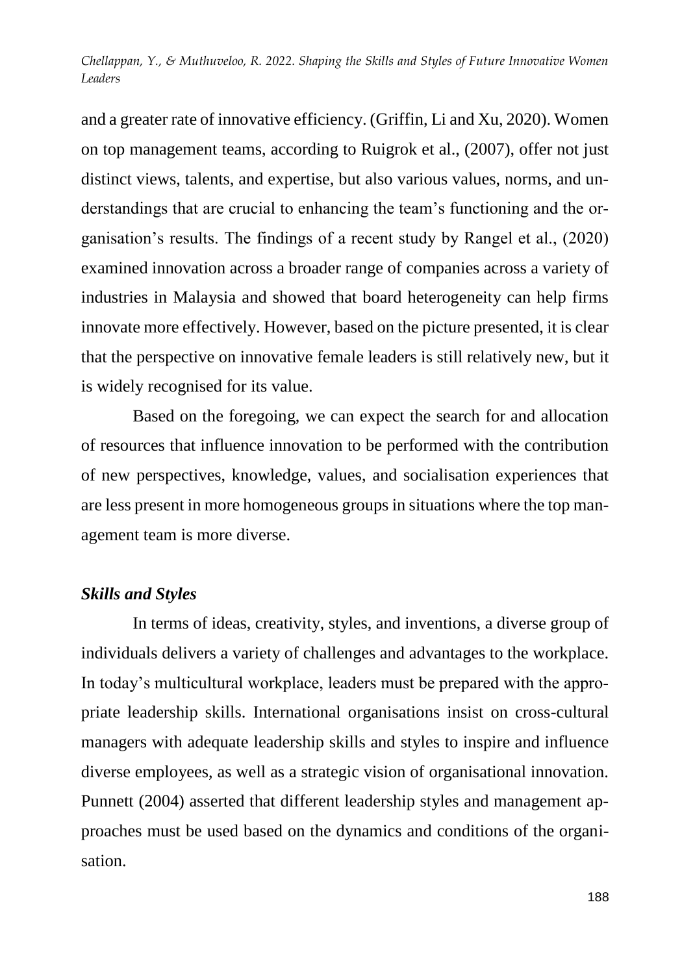and a greater rate of innovative efficiency. (Griffin, Li and Xu, 2020). Women on top management teams, according to Ruigrok et al., (2007), offer not just distinct views, talents, and expertise, but also various values, norms, and understandings that are crucial to enhancing the team's functioning and the organisation's results. The findings of a recent study by Rangel et al., (2020) examined innovation across a broader range of companies across a variety of industries in Malaysia and showed that board heterogeneity can help firms innovate more effectively. However, based on the picture presented, it is clear that the perspective on innovative female leaders is still relatively new, but it is widely recognised for its value.

Based on the foregoing, we can expect the search for and allocation of resources that influence innovation to be performed with the contribution of new perspectives, knowledge, values, and socialisation experiences that are less present in more homogeneous groups in situations where the top management team is more diverse.

#### *Skills and Styles*

In terms of ideas, creativity, styles, and inventions, a diverse group of individuals delivers a variety of challenges and advantages to the workplace. In today's multicultural workplace, leaders must be prepared with the appropriate leadership skills. International organisations insist on cross-cultural managers with adequate leadership skills and styles to inspire and influence diverse employees, as well as a strategic vision of organisational innovation. Punnett (2004) asserted that different leadership styles and management approaches must be used based on the dynamics and conditions of the organisation.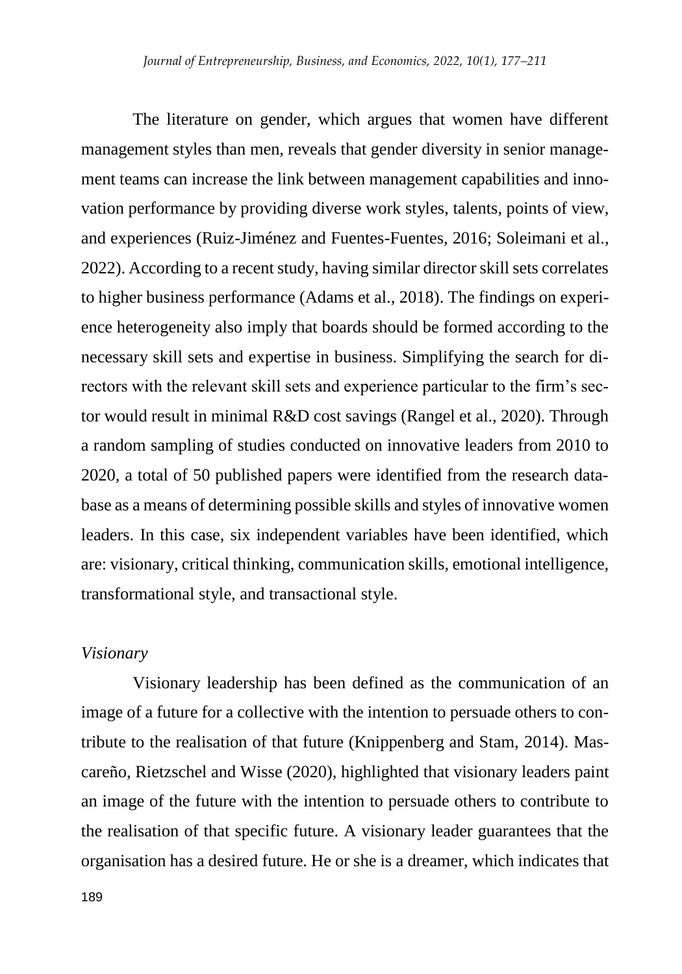The literature on gender, which argues that women have different management styles than men, reveals that gender diversity in senior management teams can increase the link between management capabilities and innovation performance by providing diverse work styles, talents, points of view, and experiences (Ruiz-Jiménez and Fuentes-Fuentes, 2016; Soleimani et al., 2022). According to a recent study, having similar director skill sets correlates to higher business performance (Adams et al., 2018). The findings on experience heterogeneity also imply that boards should be formed according to the necessary skill sets and expertise in business. Simplifying the search for directors with the relevant skill sets and experience particular to the firm's sector would result in minimal R&D cost savings (Rangel et al., 2020). Through a random sampling of studies conducted on innovative leaders from 2010 to 2020, a total of 50 published papers were identified from the research database as a means of determining possible skills and styles of innovative women leaders. In this case, six independent variables have been identified, which are: visionary, critical thinking, communication skills, emotional intelligence, transformational style, and transactional style.

#### *Visionary*

Visionary leadership has been defined as the communication of an image of a future for a collective with the intention to persuade others to contribute to the realisation of that future (Knippenberg and Stam, 2014). Mascareño, Rietzschel and Wisse (2020), highlighted that visionary leaders paint an image of the future with the intention to persuade others to contribute to the realisation of that specific future. A visionary leader guarantees that the organisation has a desired future. He or she is a dreamer, which indicates that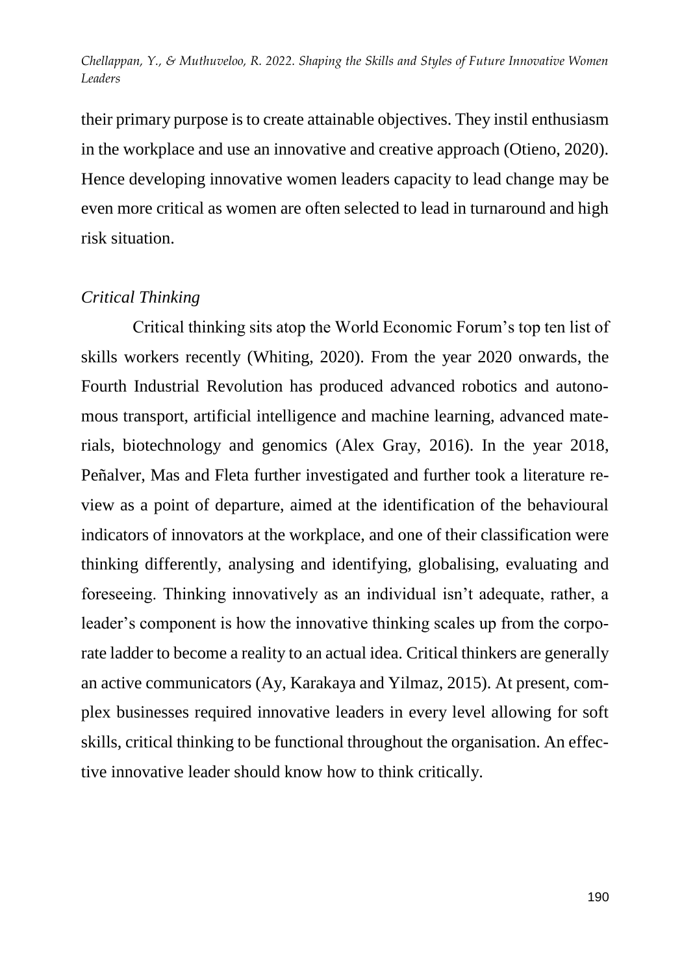their primary purpose is to create attainable objectives. They instil enthusiasm in the workplace and use an innovative and creative approach (Otieno, 2020). Hence developing innovative women leaders capacity to lead change may be even more critical as women are often selected to lead in turnaround and high risk situation.

### *Critical Thinking*

Critical thinking sits atop the World Economic Forum's top ten list of skills workers recently (Whiting, 2020). From the year 2020 onwards, the Fourth Industrial Revolution has produced advanced robotics and autonomous transport, artificial intelligence and machine learning, advanced materials, biotechnology and genomics (Alex Gray, 2016). In the year 2018, Peñalver, Mas and Fleta further investigated and further took a literature review as a point of departure, aimed at the identification of the behavioural indicators of innovators at the workplace, and one of their classification were thinking differently, analysing and identifying, globalising, evaluating and foreseeing. Thinking innovatively as an individual isn't adequate, rather, a leader's component is how the innovative thinking scales up from the corporate ladder to become a reality to an actual idea. Critical thinkers are generally an active communicators (Ay, Karakaya and Yilmaz, 2015). At present, complex businesses required innovative leaders in every level allowing for soft skills, critical thinking to be functional throughout the organisation. An effective innovative leader should know how to think critically.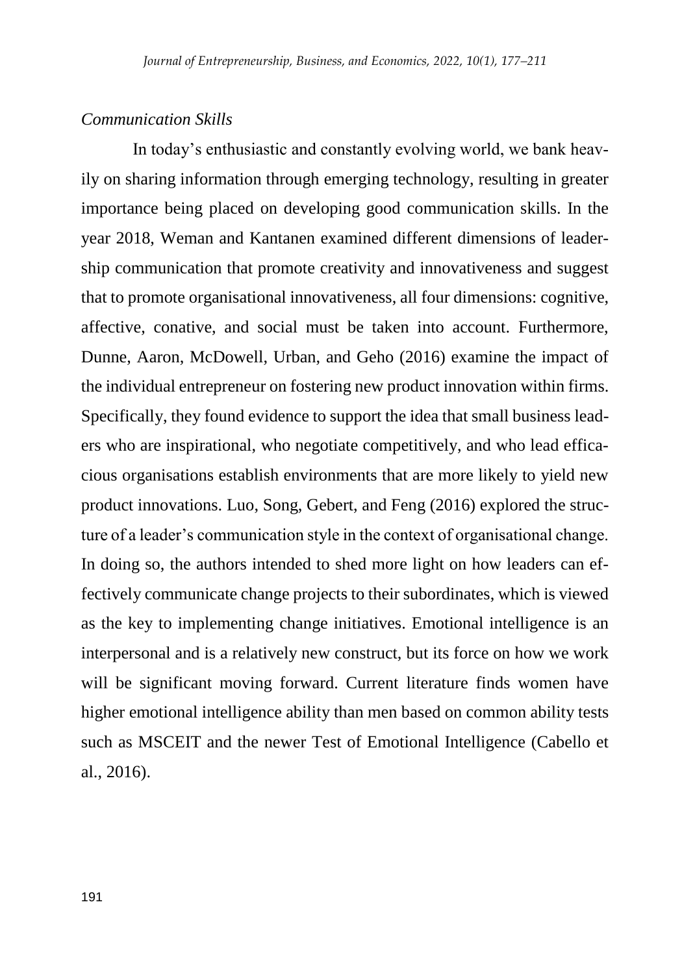#### *Communication Skills*

In today's enthusiastic and constantly evolving world, we bank heavily on sharing information through emerging technology, resulting in greater importance being placed on developing good communication skills. In the year 2018, Weman and Kantanen examined different dimensions of leadership communication that promote creativity and innovativeness and suggest that to promote organisational innovativeness, all four dimensions: cognitive, affective, conative, and social must be taken into account. Furthermore, Dunne, Aaron, McDowell, Urban, and Geho (2016) examine the impact of the individual entrepreneur on fostering new product innovation within firms. Specifically, they found evidence to support the idea that small business leaders who are inspirational, who negotiate competitively, and who lead efficacious organisations establish environments that are more likely to yield new product innovations. Luo, Song, Gebert, and Feng (2016) explored the structure of a leader's communication style in the context of organisational change. In doing so, the authors intended to shed more light on how leaders can effectively communicate change projects to their subordinates, which is viewed as the key to implementing change initiatives. Emotional intelligence is an interpersonal and is a relatively new construct, but its force on how we work will be significant moving forward. Current literature finds women have higher emotional intelligence ability than men based on common ability tests such as MSCEIT and the newer Test of Emotional Intelligence (Cabello et al., 2016).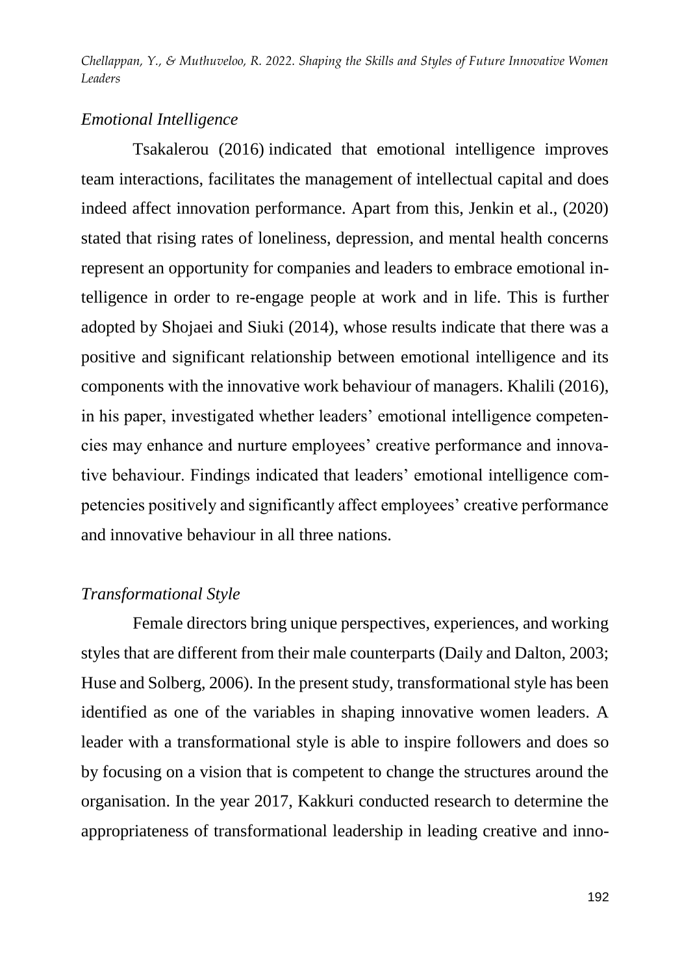### *Emotional Intelligence*

Tsakalerou (2016) indicated that emotional intelligence improves team interactions, facilitates the management of intellectual capital and does indeed affect innovation performance. Apart from this, Jenkin et al., (2020) stated that rising rates of loneliness, depression, and mental health concerns represent an opportunity for companies and leaders to embrace emotional intelligence in order to re-engage people at work and in life. This is further adopted by Shojaei and Siuki (2014), whose results indicate that there was a positive and significant relationship between emotional intelligence and its components with the innovative work behaviour of managers. Khalili (2016), in his paper, investigated whether leaders' emotional intelligence competencies may enhance and nurture employees' creative performance and innovative behaviour. Findings indicated that leaders' emotional intelligence competencies positively and significantly affect employees' creative performance and innovative behaviour in all three nations.

## *Transformational Style*

Female directors bring unique perspectives, experiences, and working styles that are different from their male counterparts (Daily and Dalton, 2003; Huse and Solberg, 2006). In the present study, transformational style has been identified as one of the variables in shaping innovative women leaders. A leader with a transformational style is able to inspire followers and does so by focusing on a vision that is competent to change the structures around the organisation. In the year 2017, Kakkuri conducted research to determine the appropriateness of transformational leadership in leading creative and inno-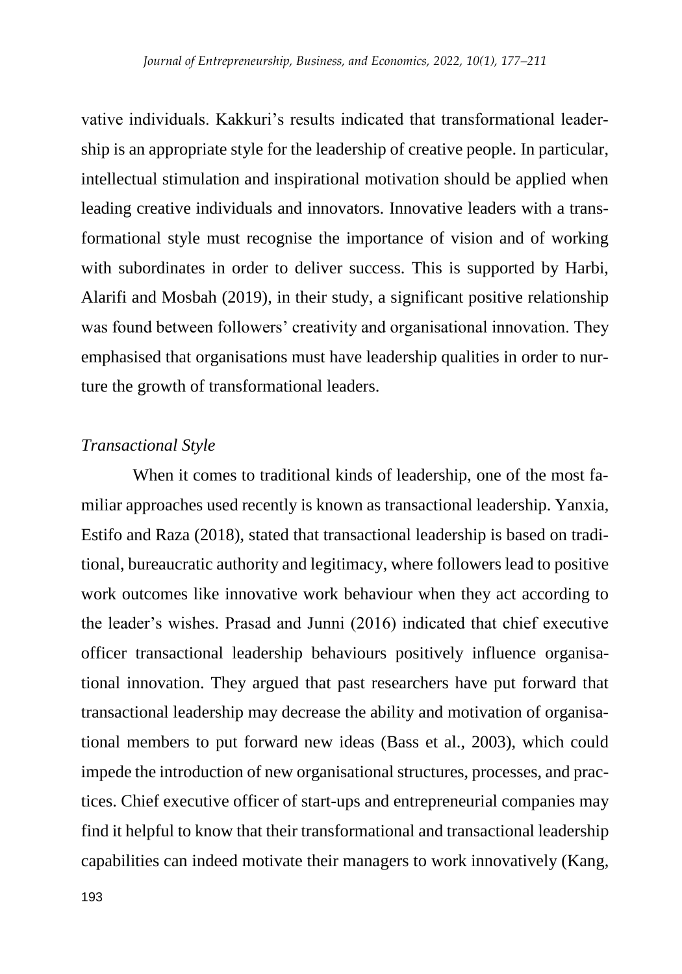vative individuals. Kakkuri's results indicated that transformational leadership is an appropriate style for the leadership of creative people. In particular, intellectual stimulation and inspirational motivation should be applied when leading creative individuals and innovators. Innovative leaders with a transformational style must recognise the importance of vision and of working with subordinates in order to deliver success. This is supported by Harbi, Alarifi and Mosbah (2019), in their study, a significant positive relationship was found between followers' creativity and organisational innovation. They emphasised that organisations must have leadership qualities in order to nurture the growth of transformational leaders.

#### *Transactional Style*

When it comes to traditional kinds of leadership, one of the most familiar approaches used recently is known as transactional leadership. Yanxia, Estifo and Raza (2018), stated that transactional leadership is based on traditional, bureaucratic authority and legitimacy, where followers lead to positive work outcomes like innovative work behaviour when they act according to the leader's wishes. Prasad and Junni (2016) indicated that chief executive officer transactional leadership behaviours positively influence organisational innovation. They argued that past researchers have put forward that transactional leadership may decrease the ability and motivation of organisational members to put forward new ideas (Bass et al., 2003), which could impede the introduction of new organisational structures, processes, and practices. Chief executive officer of start-ups and entrepreneurial companies may find it helpful to know that their transformational and transactional leadership capabilities can indeed motivate their managers to work innovatively (Kang,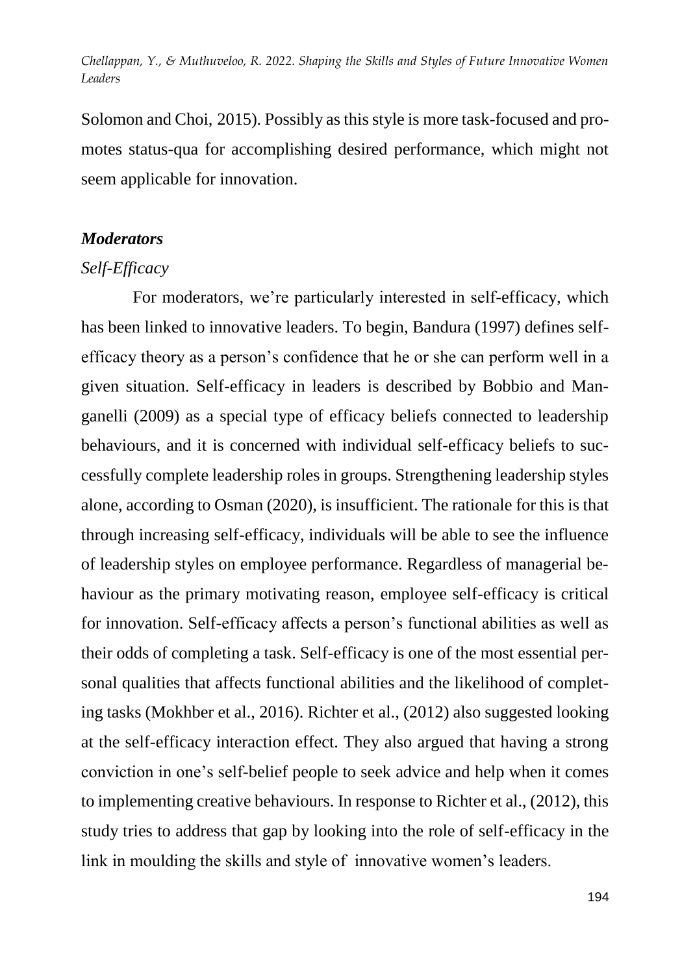Solomon and Choi, 2015). Possibly as this style is more task-focused and promotes status-qua for accomplishing desired performance, which might not seem applicable for innovation.

#### *Moderators*

## *Self-Efficacy*

For moderators, we're particularly interested in self-efficacy, which has been linked to innovative leaders. To begin, Bandura (1997) defines selfefficacy theory as a person's confidence that he or she can perform well in a given situation. Self-efficacy in leaders is described by Bobbio and Manganelli (2009) as a special type of efficacy beliefs connected to leadership behaviours, and it is concerned with individual self-efficacy beliefs to successfully complete leadership roles in groups. Strengthening leadership styles alone, according to Osman (2020), is insufficient. The rationale for this is that through increasing self-efficacy, individuals will be able to see the influence of leadership styles on employee performance. Regardless of managerial behaviour as the primary motivating reason, employee self-efficacy is critical for innovation. Self-efficacy affects a person's functional abilities as well as their odds of completing a task. Self-efficacy is one of the most essential personal qualities that affects functional abilities and the likelihood of completing tasks (Mokhber et al., 2016). Richter et al., (2012) also suggested looking at the self-efficacy interaction effect. They also argued that having a strong conviction in one's self-belief people to seek advice and help when it comes to implementing creative behaviours. In response to Richter et al., (2012), this study tries to address that gap by looking into the role of self-efficacy in the link in moulding the skills and style of innovative women's leaders.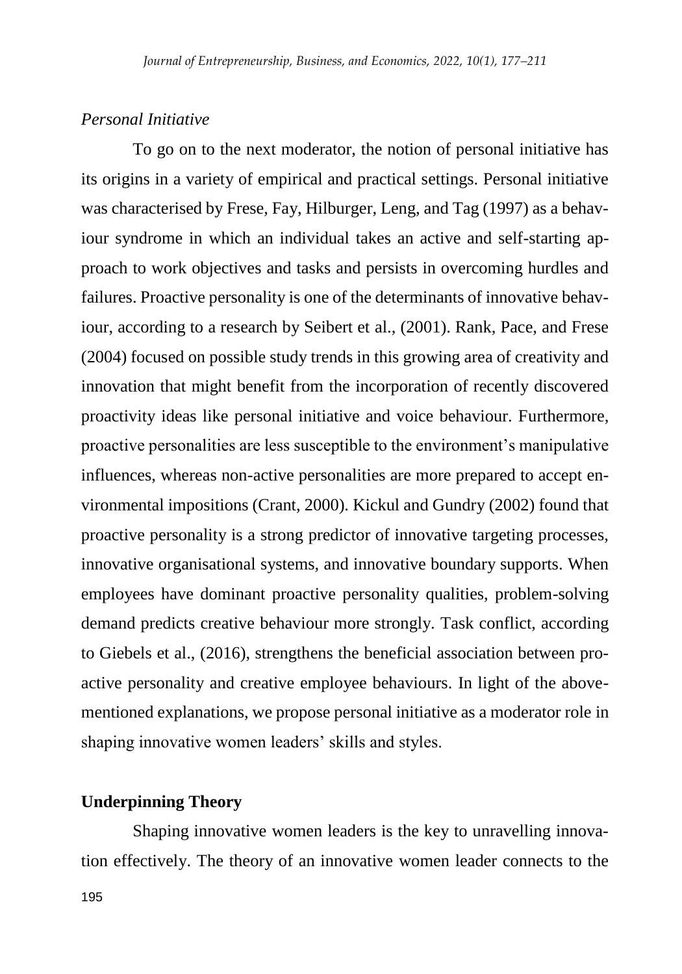#### *Personal Initiative*

To go on to the next moderator, the notion of personal initiative has its origins in a variety of empirical and practical settings. Personal initiative was characterised by Frese, Fay, Hilburger, Leng, and Tag (1997) as a behaviour syndrome in which an individual takes an active and self-starting approach to work objectives and tasks and persists in overcoming hurdles and failures. Proactive personality is one of the determinants of innovative behaviour, according to a research by Seibert et al., (2001). Rank, Pace, and Frese (2004) focused on possible study trends in this growing area of creativity and innovation that might benefit from the incorporation of recently discovered proactivity ideas like personal initiative and voice behaviour. Furthermore, proactive personalities are less susceptible to the environment's manipulative influences, whereas non-active personalities are more prepared to accept environmental impositions (Crant, 2000). Kickul and Gundry (2002) found that proactive personality is a strong predictor of innovative targeting processes, innovative organisational systems, and innovative boundary supports. When employees have dominant proactive personality qualities, problem-solving demand predicts creative behaviour more strongly. Task conflict, according to Giebels et al., (2016), strengthens the beneficial association between proactive personality and creative employee behaviours. In light of the abovementioned explanations, we propose personal initiative as a moderator role in shaping innovative women leaders' skills and styles.

## **Underpinning Theory**

Shaping innovative women leaders is the key to unravelling innovation effectively. The theory of an innovative women leader connects to the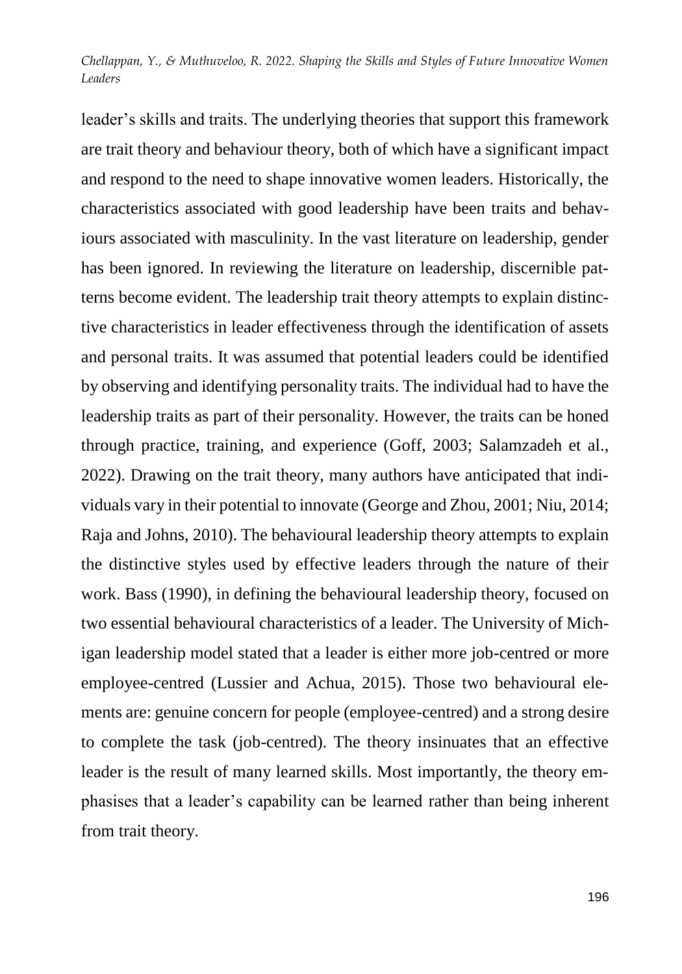leader's skills and traits. The underlying theories that support this framework are trait theory and behaviour theory, both of which have a significant impact and respond to the need to shape innovative women leaders. Historically, the characteristics associated with good leadership have been traits and behaviours associated with masculinity. In the vast literature on leadership, gender has been ignored. In reviewing the literature on leadership, discernible patterns become evident. The leadership trait theory attempts to explain distinctive characteristics in leader effectiveness through the identification of assets and personal traits. It was assumed that potential leaders could be identified by observing and identifying personality traits. The individual had to have the leadership traits as part of their personality. However, the traits can be honed through practice, training, and experience (Goff, 2003; Salamzadeh et al., 2022). Drawing on the trait theory, many authors have anticipated that individuals vary in their potential to innovate (George and Zhou, 2001; Niu, 2014; Raja and Johns, 2010). The behavioural leadership theory attempts to explain the distinctive styles used by effective leaders through the nature of their work. Bass (1990), in defining the behavioural leadership theory, focused on two essential behavioural characteristics of a leader. The University of Michigan leadership model stated that a leader is either more job-centred or more employee-centred (Lussier and Achua, 2015). Those two behavioural elements are: genuine concern for people (employee-centred) and a strong desire to complete the task (job-centred). The theory insinuates that an effective leader is the result of many learned skills. Most importantly, the theory emphasises that a leader's capability can be learned rather than being inherent from trait theory.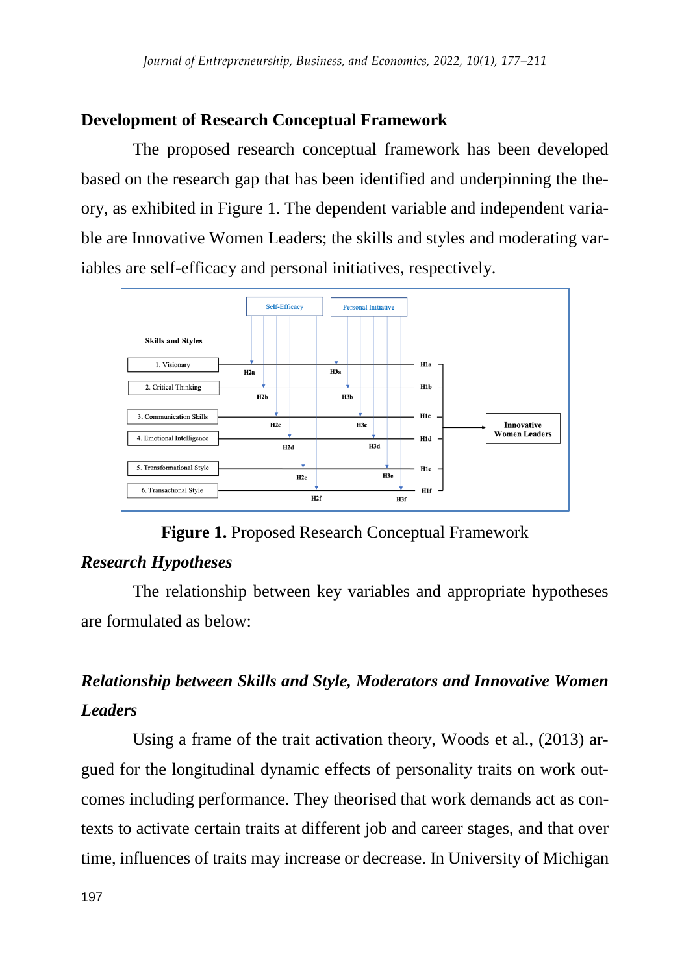# **Development of Research Conceptual Framework**

The proposed research conceptual framework has been developed based on the research gap that has been identified and underpinning the theory, as exhibited in Figure 1. The dependent variable and independent variable are Innovative Women Leaders; the skills and styles and moderating variables are self-efficacy and personal initiatives, respectively.



**Figure 1.** Proposed Research Conceptual Framework

# *Research Hypotheses*

The relationship between key variables and appropriate hypotheses are formulated as below:

# *Relationship between Skills and Style, Moderators and Innovative Women Leaders*

Using a frame of the trait activation theory, Woods et al., (2013) argued for the longitudinal dynamic effects of personality traits on work outcomes including performance. They theorised that work demands act as contexts to activate certain traits at different job and career stages, and that over time, influences of traits may increase or decrease. In University of Michigan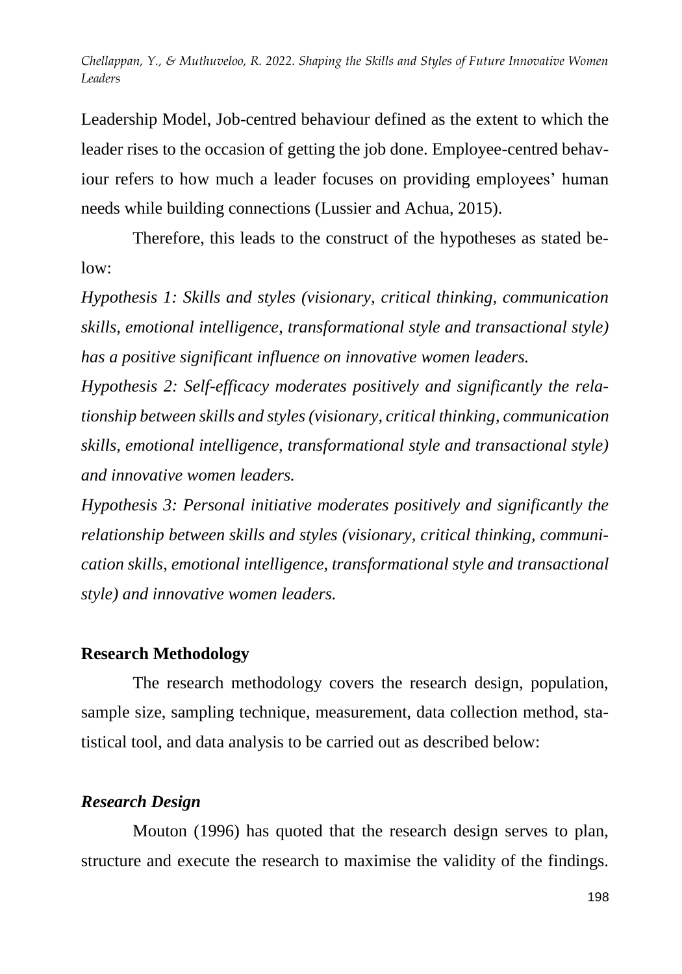Leadership Model, Job-centred behaviour defined as the extent to which the leader rises to the occasion of getting the job done. Employee-centred behaviour refers to how much a leader focuses on providing employees' human needs while building connections (Lussier and Achua, 2015).

Therefore, this leads to the construct of the hypotheses as stated below:

*Hypothesis 1: Skills and styles (visionary, critical thinking, communication skills, emotional intelligence, transformational style and transactional style) has a positive significant influence on innovative women leaders.* 

*Hypothesis 2: Self-efficacy moderates positively and significantly the relationship between skills and styles (visionary, critical thinking, communication skills, emotional intelligence, transformational style and transactional style) and innovative women leaders.* 

*Hypothesis 3: Personal initiative moderates positively and significantly the relationship between skills and styles (visionary, critical thinking, communication skills, emotional intelligence, transformational style and transactional style) and innovative women leaders.* 

### **Research Methodology**

The research methodology covers the research design, population, sample size, sampling technique, measurement, data collection method, statistical tool, and data analysis to be carried out as described below:

## *Research Design*

Mouton (1996) has quoted that the research design serves to plan, structure and execute the research to maximise the validity of the findings.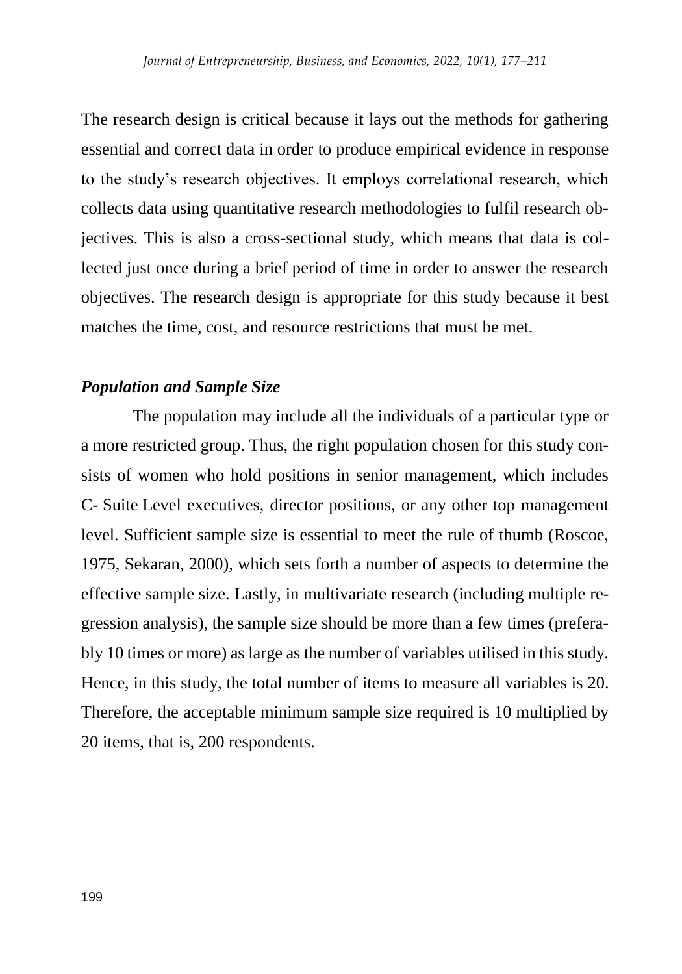The research design is critical because it lays out the methods for gathering essential and correct data in order to produce empirical evidence in response to the study's research objectives. It employs correlational research, which collects data using quantitative research methodologies to fulfil research objectives. This is also a cross-sectional study, which means that data is collected just once during a brief period of time in order to answer the research objectives. The research design is appropriate for this study because it best matches the time, cost, and resource restrictions that must be met.

### *Population and Sample Size*

The population may include all the individuals of a particular type or a more restricted group. Thus, the right population chosen for this study consists of women who hold positions in senior management, which includes C- Suite Level executives, director positions, or any other top management level. Sufficient sample size is essential to meet the rule of thumb (Roscoe, 1975, Sekaran, 2000), which sets forth a number of aspects to determine the effective sample size. Lastly, in multivariate research (including multiple regression analysis), the sample size should be more than a few times (preferably 10 times or more) as large as the number of variables utilised in this study. Hence, in this study, the total number of items to measure all variables is 20. Therefore, the acceptable minimum sample size required is 10 multiplied by 20 items, that is, 200 respondents.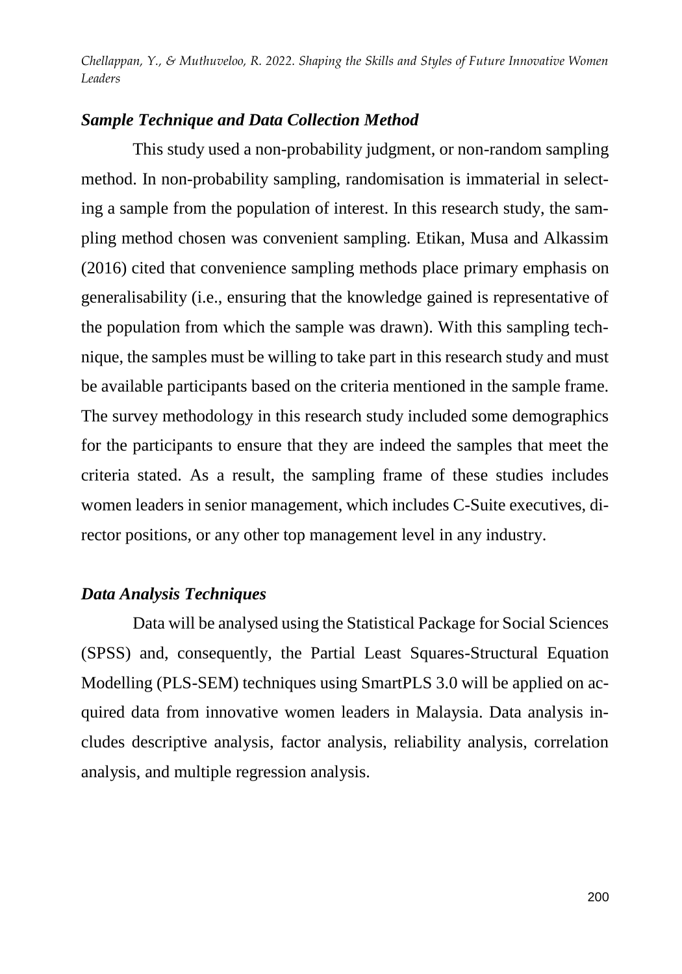# *Sample Technique and Data Collection Method*

This study used a non-probability judgment, or non-random sampling method. In non-probability sampling, randomisation is immaterial in selecting a sample from the population of interest. In this research study, the sampling method chosen was convenient sampling. Etikan, Musa and Alkassim (2016) cited that convenience sampling methods place primary emphasis on generalisability (i.e., ensuring that the knowledge gained is representative of the population from which the sample was drawn). With this sampling technique, the samples must be willing to take part in this research study and must be available participants based on the criteria mentioned in the sample frame. The survey methodology in this research study included some demographics for the participants to ensure that they are indeed the samples that meet the criteria stated. As a result, the sampling frame of these studies includes women leaders in senior management, which includes C-Suite executives, director positions, or any other top management level in any industry.

## *Data Analysis Techniques*

Data will be analysed using the Statistical Package for Social Sciences (SPSS) and, consequently, the Partial Least Squares-Structural Equation Modelling (PLS-SEM) techniques using SmartPLS 3.0 will be applied on acquired data from innovative women leaders in Malaysia. Data analysis includes descriptive analysis, factor analysis, reliability analysis, correlation analysis, and multiple regression analysis.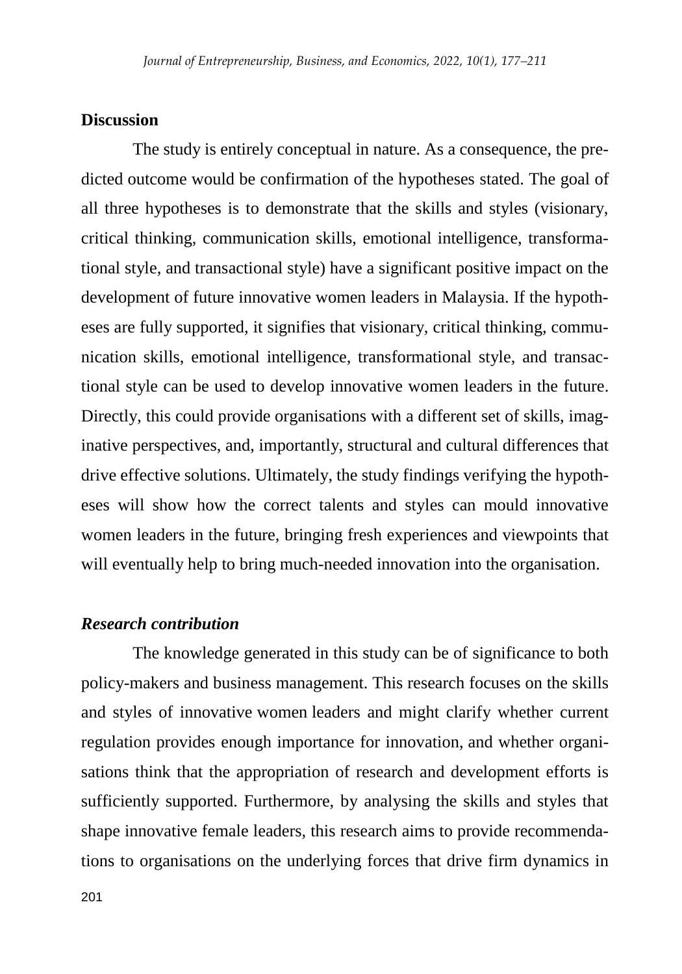#### **Discussion**

The study is entirely conceptual in nature. As a consequence, the predicted outcome would be confirmation of the hypotheses stated. The goal of all three hypotheses is to demonstrate that the skills and styles (visionary, critical thinking, communication skills, emotional intelligence, transformational style, and transactional style) have a significant positive impact on the development of future innovative women leaders in Malaysia. If the hypotheses are fully supported, it signifies that visionary, critical thinking, communication skills, emotional intelligence, transformational style, and transactional style can be used to develop innovative women leaders in the future. Directly, this could provide organisations with a different set of skills, imaginative perspectives, and, importantly, structural and cultural differences that drive effective solutions. Ultimately, the study findings verifying the hypotheses will show how the correct talents and styles can mould innovative women leaders in the future, bringing fresh experiences and viewpoints that will eventually help to bring much-needed innovation into the organisation.

#### *Research contribution*

The knowledge generated in this study can be of significance to both policy-makers and business management. This research focuses on the skills and styles of innovative women leaders and might clarify whether current regulation provides enough importance for innovation, and whether organisations think that the appropriation of research and development efforts is sufficiently supported. Furthermore, by analysing the skills and styles that shape innovative female leaders, this research aims to provide recommendations to organisations on the underlying forces that drive firm dynamics in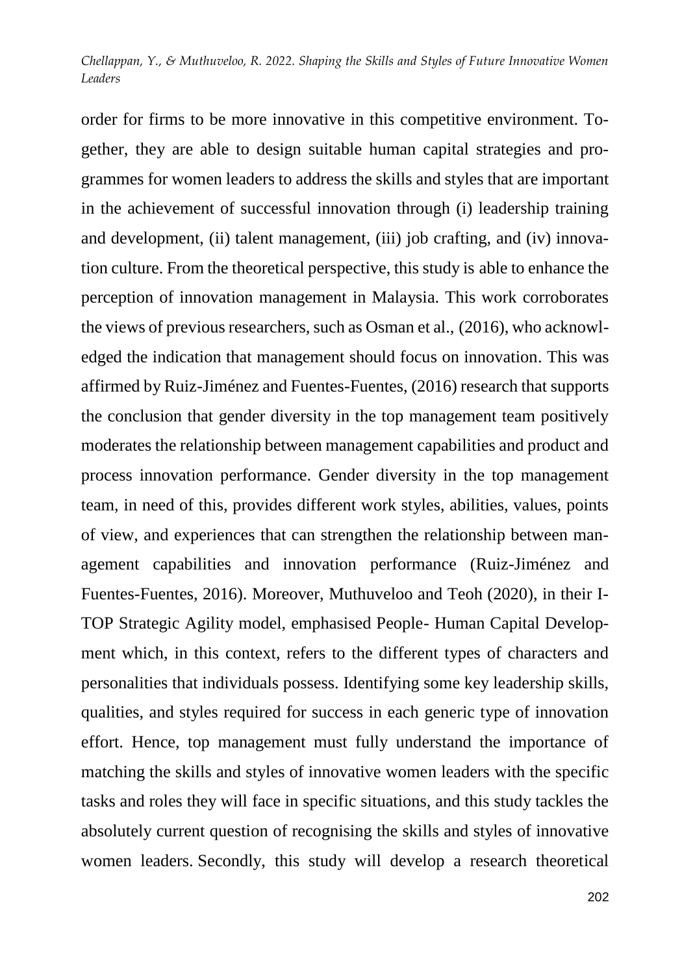order for firms to be more innovative in this competitive environment. Together, they are able to design suitable human capital strategies and programmes for women leaders to address the skills and styles that are important in the achievement of successful innovation through (i) leadership training and development, (ii) talent management, (iii) job crafting, and (iv) innovation culture. From the theoretical perspective, this study is able to enhance the perception of innovation management in Malaysia. This work corroborates the views of previous researchers, such as Osman et al., (2016), who acknowledged the indication that management should focus on innovation. This was affirmed by Ruiz-Jiménez and Fuentes-Fuentes, (2016) research that supports the conclusion that gender diversity in the top management team positively moderates the relationship between management capabilities and product and process innovation performance. Gender diversity in the top management team, in need of this, provides different work styles, abilities, values, points of view, and experiences that can strengthen the relationship between management capabilities and innovation performance (Ruiz-Jiménez and Fuentes-Fuentes, 2016). Moreover, Muthuveloo and Teoh (2020), in their I-TOP Strategic Agility model, emphasised People- Human Capital Development which, in this context, refers to the different types of characters and personalities that individuals possess. Identifying some key leadership skills, qualities, and styles required for success in each generic type of innovation effort. Hence, top management must fully understand the importance of matching the skills and styles of innovative women leaders with the specific tasks and roles they will face in specific situations, and this study tackles the absolutely current question of recognising the skills and styles of innovative women leaders. Secondly, this study will develop a research theoretical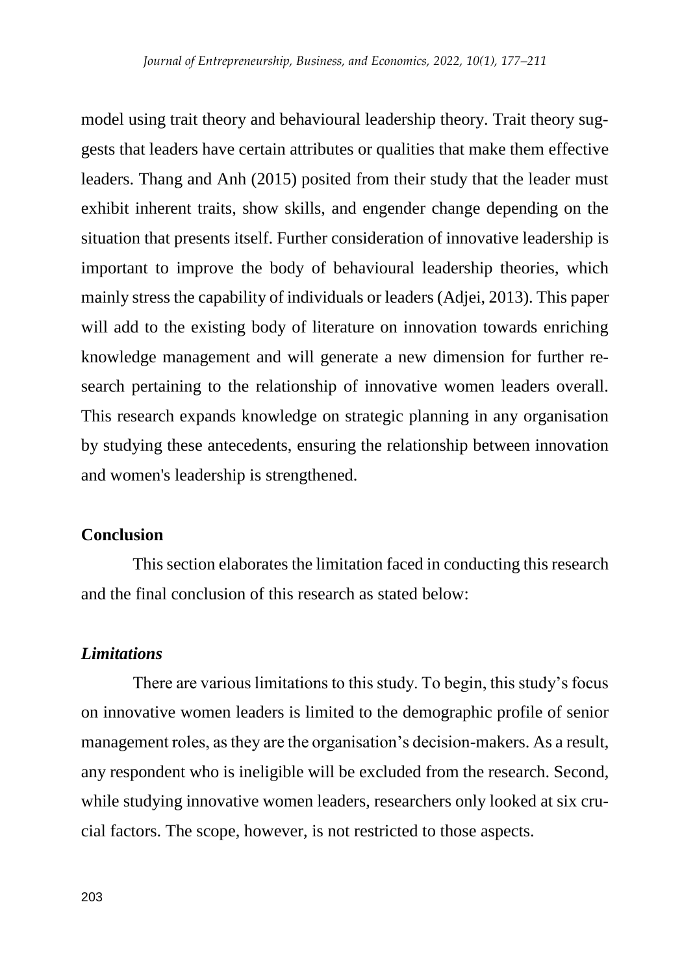model using trait theory and behavioural leadership theory. Trait theory suggests that leaders have certain attributes or qualities that make them effective leaders. Thang and Anh (2015) posited from their study that the leader must exhibit inherent traits, show skills, and engender change depending on the situation that presents itself. Further consideration of innovative leadership is important to improve the body of behavioural leadership theories, which mainly stress the capability of individuals or leaders (Adjei, 2013). This paper will add to the existing body of literature on innovation towards enriching knowledge management and will generate a new dimension for further research pertaining to the relationship of innovative women leaders overall. This research expands knowledge on strategic planning in any organisation by studying these antecedents, ensuring the relationship between innovation and women's leadership is strengthened.

#### **Conclusion**

This section elaborates the limitation faced in conducting this research and the final conclusion of this research as stated below:

#### *Limitations*

There are various limitations to this study. To begin, this study's focus on innovative women leaders is limited to the demographic profile of senior management roles, as they are the organisation's decision-makers. As a result, any respondent who is ineligible will be excluded from the research. Second, while studying innovative women leaders, researchers only looked at six crucial factors. The scope, however, is not restricted to those aspects.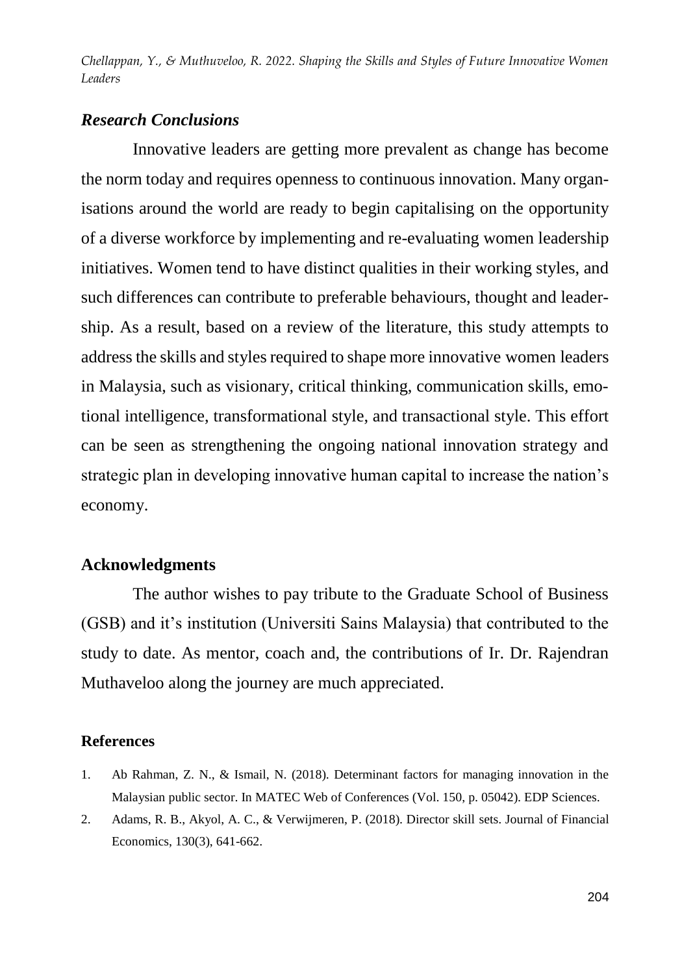### *Research Conclusions*

Innovative leaders are getting more prevalent as change has become the norm today and requires openness to continuous innovation. Many organisations around the world are ready to begin capitalising on the opportunity of a diverse workforce by implementing and re-evaluating women leadership initiatives. Women tend to have distinct qualities in their working styles, and such differences can contribute to preferable behaviours, thought and leadership. As a result, based on a review of the literature, this study attempts to address the skills and styles required to shape more innovative women leaders in Malaysia, such as visionary, critical thinking, communication skills, emotional intelligence, transformational style, and transactional style. This effort can be seen as strengthening the ongoing national innovation strategy and strategic plan in developing innovative human capital to increase the nation's economy.

### **Acknowledgments**

The author wishes to pay tribute to the Graduate School of Business (GSB) and it's institution (Universiti Sains Malaysia) that contributed to the study to date. As mentor, coach and, the contributions of Ir. Dr. Rajendran Muthaveloo along the journey are much appreciated.

#### **References**

- 1. Ab Rahman, Z. N., & Ismail, N. (2018). Determinant factors for managing innovation in the Malaysian public sector. In MATEC Web of Conferences (Vol. 150, p. 05042). EDP Sciences.
- 2. Adams, R. B., Akyol, A. C., & Verwijmeren, P. (2018). Director skill sets. Journal of Financial Economics, 130(3), 641-662.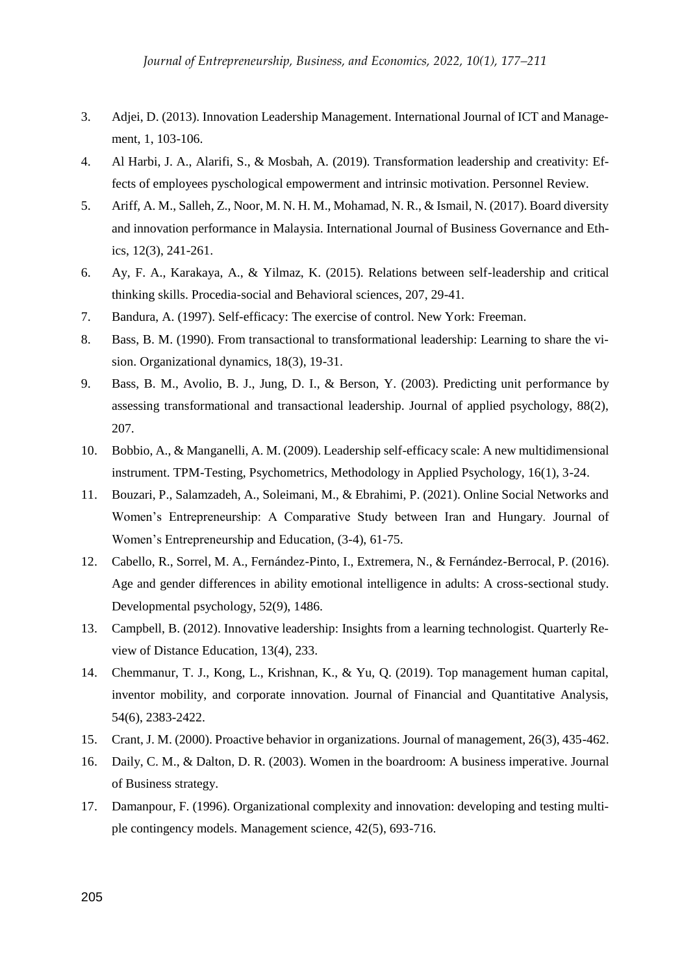- 3. Adjei, D. (2013). Innovation Leadership Management. International Journal of ICT and Management, 1, 103-106.
- 4. Al Harbi, J. A., Alarifi, S., & Mosbah, A. (2019). Transformation leadership and creativity: Effects of employees pyschological empowerment and intrinsic motivation. Personnel Review.
- 5. Ariff, A. M., Salleh, Z., Noor, M. N. H. M., Mohamad, N. R., & Ismail, N. (2017). Board diversity and innovation performance in Malaysia. International Journal of Business Governance and Ethics, 12(3), 241-261.
- 6. Ay, F. A., Karakaya, A., & Yilmaz, K. (2015). Relations between self-leadership and critical thinking skills. Procedia-social and Behavioral sciences, 207, 29-41.
- 7. Bandura, A. (1997). Self-efficacy: The exercise of control. New York: Freeman.
- 8. Bass, B. M. (1990). From transactional to transformational leadership: Learning to share the vision. Organizational dynamics, 18(3), 19-31.
- 9. Bass, B. M., Avolio, B. J., Jung, D. I., & Berson, Y. (2003). Predicting unit performance by assessing transformational and transactional leadership. Journal of applied psychology, 88(2), 207.
- 10. Bobbio, A., & Manganelli, A. M. (2009). Leadership self-efficacy scale: A new multidimensional instrument. TPM-Testing, Psychometrics, Methodology in Applied Psychology, 16(1), 3-24.
- 11. Bouzari, P., Salamzadeh, A., Soleimani, M., & Ebrahimi, P. (2021). Online Social Networks and Women's Entrepreneurship: A Comparative Study between Iran and Hungary. Journal of Women's Entrepreneurship and Education, (3-4), 61-75.
- 12. Cabello, R., Sorrel, M. A., Fernández-Pinto, I., Extremera, N., & Fernández-Berrocal, P. (2016). Age and gender differences in ability emotional intelligence in adults: A cross-sectional study. Developmental psychology, 52(9), 1486.
- 13. Campbell, B. (2012). Innovative leadership: Insights from a learning technologist. Quarterly Review of Distance Education, 13(4), 233.
- 14. Chemmanur, T. J., Kong, L., Krishnan, K., & Yu, Q. (2019). Top management human capital, inventor mobility, and corporate innovation. Journal of Financial and Quantitative Analysis, 54(6), 2383-2422.
- 15. Crant, J. M. (2000). Proactive behavior in organizations. Journal of management, 26(3), 435-462.
- 16. Daily, C. M., & Dalton, D. R. (2003). Women in the boardroom: A business imperative. Journal of Business strategy.
- 17. Damanpour, F. (1996). Organizational complexity and innovation: developing and testing multiple contingency models. Management science, 42(5), 693-716.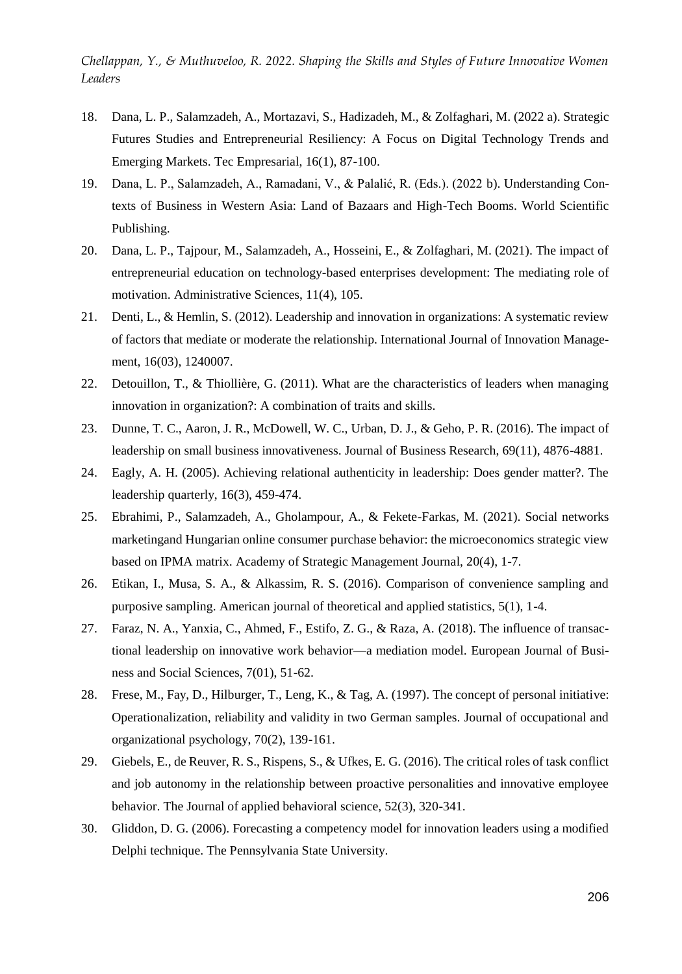- 18. Dana, L. P., Salamzadeh, A., Mortazavi, S., Hadizadeh, M., & Zolfaghari, M. (2022 a). Strategic Futures Studies and Entrepreneurial Resiliency: A Focus on Digital Technology Trends and Emerging Markets. Tec Empresarial, 16(1), 87-100.
- 19. Dana, L. P., Salamzadeh, A., Ramadani, V., & Palalić, R. (Eds.). (2022 b). Understanding Contexts of Business in Western Asia: Land of Bazaars and High-Tech Booms. World Scientific Publishing.
- 20. Dana, L. P., Tajpour, M., Salamzadeh, A., Hosseini, E., & Zolfaghari, M. (2021). The impact of entrepreneurial education on technology-based enterprises development: The mediating role of motivation. Administrative Sciences, 11(4), 105.
- 21. Denti, L., & Hemlin, S. (2012). Leadership and innovation in organizations: A systematic review of factors that mediate or moderate the relationship. International Journal of Innovation Management, 16(03), 1240007.
- 22. Detouillon, T., & Thiollière, G. (2011). What are the characteristics of leaders when managing innovation in organization?: A combination of traits and skills.
- 23. Dunne, T. C., Aaron, J. R., McDowell, W. C., Urban, D. J., & Geho, P. R. (2016). The impact of leadership on small business innovativeness. Journal of Business Research, 69(11), 4876-4881.
- 24. Eagly, A. H. (2005). Achieving relational authenticity in leadership: Does gender matter?. The leadership quarterly, 16(3), 459-474.
- 25. Ebrahimi, P., Salamzadeh, A., Gholampour, A., & Fekete-Farkas, M. (2021). Social networks marketingand Hungarian online consumer purchase behavior: the microeconomics strategic view based on IPMA matrix. Academy of Strategic Management Journal, 20(4), 1-7.
- 26. Etikan, I., Musa, S. A., & Alkassim, R. S. (2016). Comparison of convenience sampling and purposive sampling. American journal of theoretical and applied statistics, 5(1), 1-4.
- 27. Faraz, N. A., Yanxia, C., Ahmed, F., Estifo, Z. G., & Raza, A. (2018). The influence of transactional leadership on innovative work behavior—a mediation model. European Journal of Business and Social Sciences, 7(01), 51-62.
- 28. Frese, M., Fay, D., Hilburger, T., Leng, K., & Tag, A. (1997). The concept of personal initiative: Operationalization, reliability and validity in two German samples. Journal of occupational and organizational psychology, 70(2), 139-161.
- 29. Giebels, E., de Reuver, R. S., Rispens, S., & Ufkes, E. G. (2016). The critical roles of task conflict and job autonomy in the relationship between proactive personalities and innovative employee behavior. The Journal of applied behavioral science, 52(3), 320-341.
- 30. Gliddon, D. G. (2006). Forecasting a competency model for innovation leaders using a modified Delphi technique. The Pennsylvania State University.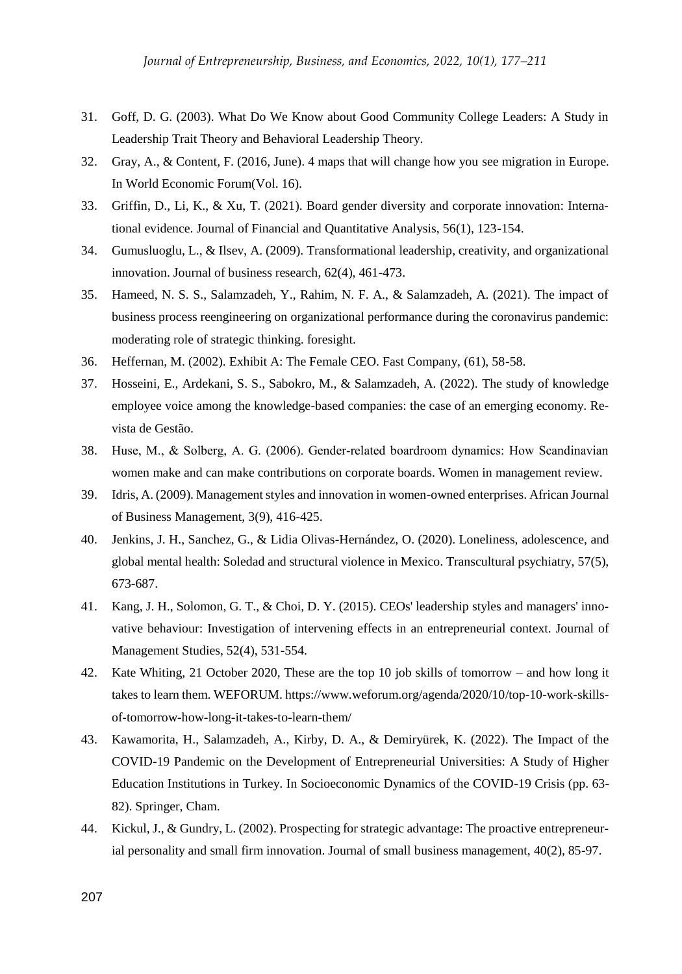- 31. Goff, D. G. (2003). What Do We Know about Good Community College Leaders: A Study in Leadership Trait Theory and Behavioral Leadership Theory.
- 32. Gray, A., & Content, F. (2016, June). 4 maps that will change how you see migration in Europe. In World Economic Forum(Vol. 16).
- 33. Griffin, D., Li, K., & Xu, T. (2021). Board gender diversity and corporate innovation: International evidence. Journal of Financial and Quantitative Analysis, 56(1), 123-154.
- 34. Gumusluoglu, L., & Ilsev, A. (2009). Transformational leadership, creativity, and organizational innovation. Journal of business research, 62(4), 461-473.
- 35. Hameed, N. S. S., Salamzadeh, Y., Rahim, N. F. A., & Salamzadeh, A. (2021). The impact of business process reengineering on organizational performance during the coronavirus pandemic: moderating role of strategic thinking. foresight.
- 36. Heffernan, M. (2002). Exhibit A: The Female CEO. Fast Company, (61), 58-58.
- 37. Hosseini, E., Ardekani, S. S., Sabokro, M., & Salamzadeh, A. (2022). The study of knowledge employee voice among the knowledge-based companies: the case of an emerging economy. Revista de Gestão.
- 38. Huse, M., & Solberg, A. G. (2006). Gender‐related boardroom dynamics: How Scandinavian women make and can make contributions on corporate boards. Women in management review.
- 39. Idris, A. (2009). Management styles and innovation in women-owned enterprises. African Journal of Business Management, 3(9), 416-425.
- 40. Jenkins, J. H., Sanchez, G., & Lidia Olivas-Hernández, O. (2020). Loneliness, adolescence, and global mental health: Soledad and structural violence in Mexico. Transcultural psychiatry, 57(5), 673-687.
- 41. Kang, J. H., Solomon, G. T., & Choi, D. Y. (2015). CEOs' leadership styles and managers' innovative behaviour: Investigation of intervening effects in an entrepreneurial context. Journal of Management Studies, 52(4), 531-554.
- 42. Kate Whiting, 21 October 2020, These are the top 10 job skills of tomorrow and how long it takes to learn them. WEFORUM. https://www.weforum.org/agenda/2020/10/top-10-work-skillsof-tomorrow-how-long-it-takes-to-learn-them/
- 43. Kawamorita, H., Salamzadeh, A., Kirby, D. A., & Demiryürek, K. (2022). The Impact of the COVID-19 Pandemic on the Development of Entrepreneurial Universities: A Study of Higher Education Institutions in Turkey. In Socioeconomic Dynamics of the COVID-19 Crisis (pp. 63- 82). Springer, Cham.
- 44. Kickul, J., & Gundry, L. (2002). Prospecting for strategic advantage: The proactive entrepreneurial personality and small firm innovation. Journal of small business management, 40(2), 85-97.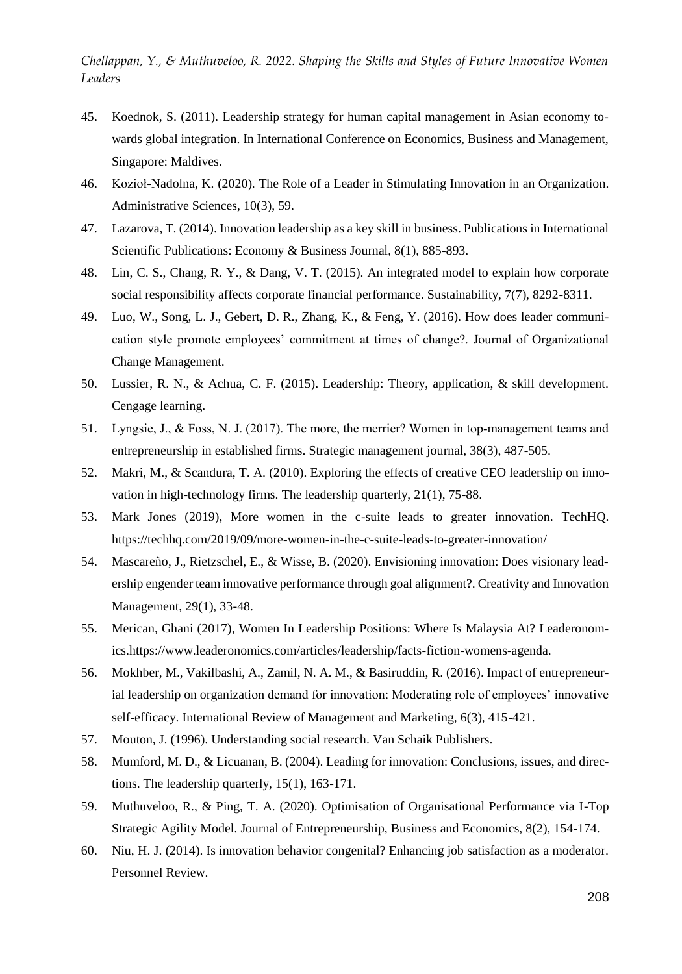- 45. Koednok, S. (2011). Leadership strategy for human capital management in Asian economy towards global integration. In International Conference on Economics, Business and Management, Singapore: Maldives.
- 46. Kozioł-Nadolna, K. (2020). The Role of a Leader in Stimulating Innovation in an Organization. Administrative Sciences, 10(3), 59.
- 47. Lazarova, T. (2014). Innovation leadership as a key skill in business. Publications in International Scientific Publications: Economy & Business Journal, 8(1), 885-893.
- 48. Lin, C. S., Chang, R. Y., & Dang, V. T. (2015). An integrated model to explain how corporate social responsibility affects corporate financial performance. Sustainability, 7(7), 8292-8311.
- 49. Luo, W., Song, L. J., Gebert, D. R., Zhang, K., & Feng, Y. (2016). How does leader communication style promote employees' commitment at times of change?. Journal of Organizational Change Management.
- 50. Lussier, R. N., & Achua, C. F. (2015). Leadership: Theory, application, & skill development. Cengage learning.
- 51. Lyngsie, J., & Foss, N. J. (2017). The more, the merrier? Women in top-management teams and entrepreneurship in established firms. Strategic management journal, 38(3), 487-505.
- 52. Makri, M., & Scandura, T. A. (2010). Exploring the effects of creative CEO leadership on innovation in high-technology firms. The leadership quarterly, 21(1), 75-88.
- 53. Mark Jones (2019), More women in the c-suite leads to greater innovation. TechHQ. https://techhq.com/2019/09/more-women-in-the-c-suite-leads-to-greater-innovation/
- 54. Mascareño, J., Rietzschel, E., & Wisse, B. (2020). Envisioning innovation: Does visionary leadership engender team innovative performance through goal alignment?. Creativity and Innovation Management, 29(1), 33-48.
- 55. Merican, Ghani (2017), Women In Leadership Positions: Where Is Malaysia At? Leaderonomics.https://www.leaderonomics.com/articles/leadership/facts-fiction-womens-agenda.
- 56. Mokhber, M., Vakilbashi, A., Zamil, N. A. M., & Basiruddin, R. (2016). Impact of entrepreneurial leadership on organization demand for innovation: Moderating role of employees' innovative self-efficacy. International Review of Management and Marketing, 6(3), 415-421.
- 57. Mouton, J. (1996). Understanding social research. Van Schaik Publishers.
- 58. Mumford, M. D., & Licuanan, B. (2004). Leading for innovation: Conclusions, issues, and directions. The leadership quarterly, 15(1), 163-171.
- 59. Muthuveloo, R., & Ping, T. A. (2020). Optimisation of Organisational Performance via I-Top Strategic Agility Model. Journal of Entrepreneurship, Business and Economics, 8(2), 154-174.
- 60. Niu, H. J. (2014). Is innovation behavior congenital? Enhancing job satisfaction as a moderator. Personnel Review.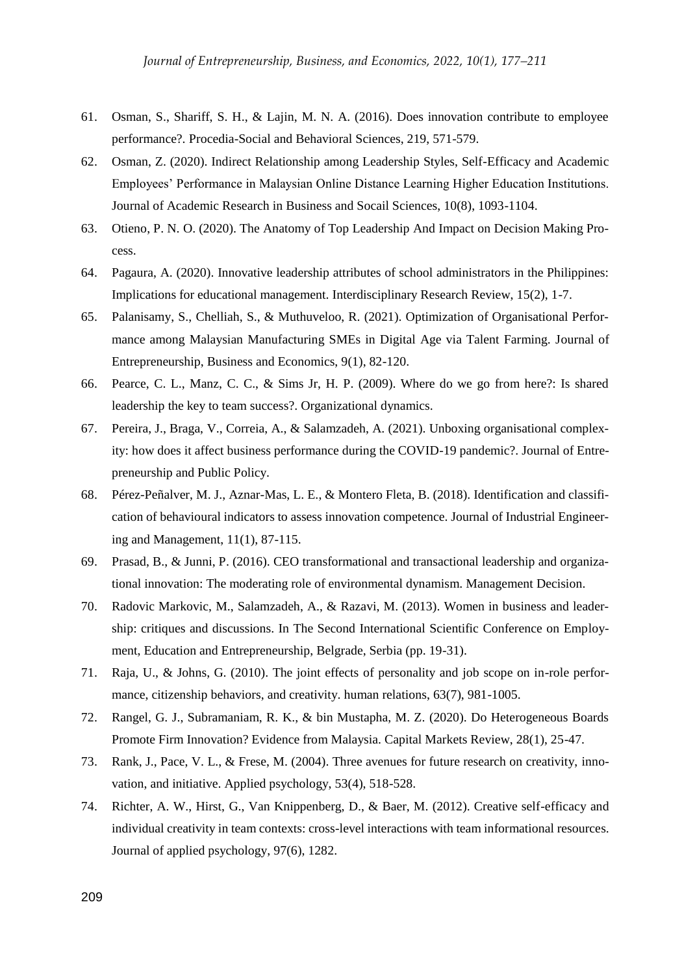- 61. Osman, S., Shariff, S. H., & Lajin, M. N. A. (2016). Does innovation contribute to employee performance?. Procedia-Social and Behavioral Sciences, 219, 571-579.
- 62. Osman, Z. (2020). Indirect Relationship among Leadership Styles, Self-Efficacy and Academic Employees' Performance in Malaysian Online Distance Learning Higher Education Institutions. Journal of Academic Research in Business and Socail Sciences, 10(8), 1093-1104.
- 63. Otieno, P. N. O. (2020). The Anatomy of Top Leadership And Impact on Decision Making Process.
- 64. Pagaura, A. (2020). Innovative leadership attributes of school administrators in the Philippines: Implications for educational management. Interdisciplinary Research Review, 15(2), 1-7.
- 65. Palanisamy, S., Chelliah, S., & Muthuveloo, R. (2021). Optimization of Organisational Performance among Malaysian Manufacturing SMEs in Digital Age via Talent Farming. Journal of Entrepreneurship, Business and Economics, 9(1), 82-120.
- 66. Pearce, C. L., Manz, C. C., & Sims Jr, H. P. (2009). Where do we go from here?: Is shared leadership the key to team success?. Organizational dynamics.
- 67. Pereira, J., Braga, V., Correia, A., & Salamzadeh, A. (2021). Unboxing organisational complexity: how does it affect business performance during the COVID-19 pandemic?. Journal of Entrepreneurship and Public Policy.
- 68. Pérez-Peñalver, M. J., Aznar-Mas, L. E., & Montero Fleta, B. (2018). Identification and classification of behavioural indicators to assess innovation competence. Journal of Industrial Engineering and Management, 11(1), 87-115.
- 69. Prasad, B., & Junni, P. (2016). CEO transformational and transactional leadership and organizational innovation: The moderating role of environmental dynamism. Management Decision.
- 70. Radovic Markovic, M., Salamzadeh, A., & Razavi, M. (2013). Women in business and leadership: critiques and discussions. In The Second International Scientific Conference on Employment, Education and Entrepreneurship, Belgrade, Serbia (pp. 19-31).
- 71. Raja, U., & Johns, G. (2010). The joint effects of personality and job scope on in-role performance, citizenship behaviors, and creativity. human relations, 63(7), 981-1005.
- 72. Rangel, G. J., Subramaniam, R. K., & bin Mustapha, M. Z. (2020). Do Heterogeneous Boards Promote Firm Innovation? Evidence from Malaysia. Capital Markets Review, 28(1), 25-47.
- 73. Rank, J., Pace, V. L., & Frese, M. (2004). Three avenues for future research on creativity, innovation, and initiative. Applied psychology, 53(4), 518-528.
- 74. Richter, A. W., Hirst, G., Van Knippenberg, D., & Baer, M. (2012). Creative self-efficacy and individual creativity in team contexts: cross-level interactions with team informational resources. Journal of applied psychology, 97(6), 1282.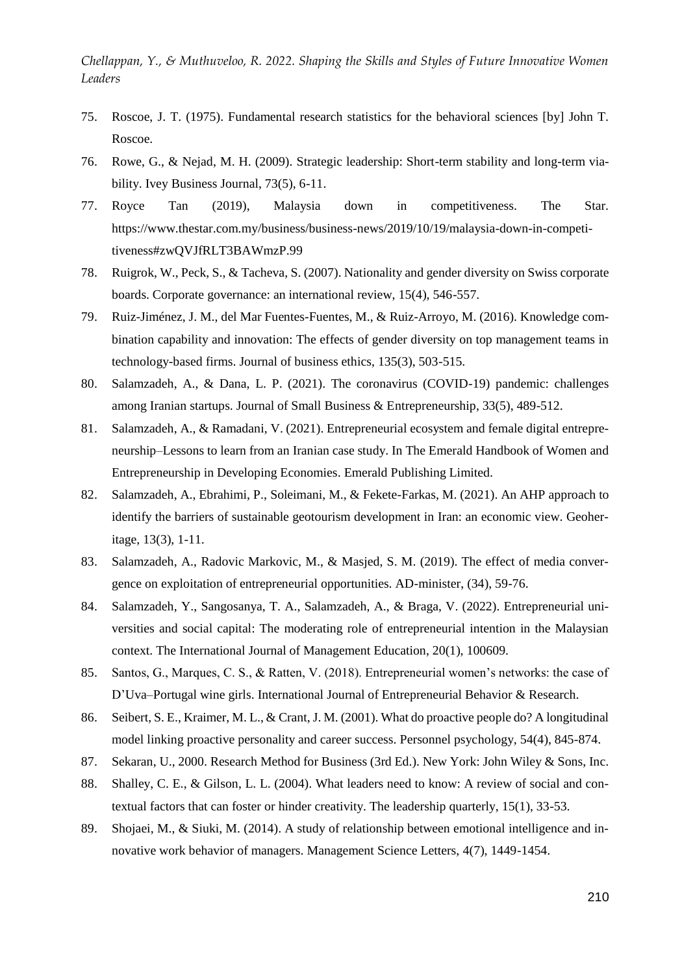- 75. Roscoe, J. T. (1975). Fundamental research statistics for the behavioral sciences [by] John T. Roscoe.
- 76. Rowe, G., & Nejad, M. H. (2009). Strategic leadership: Short-term stability and long-term viability. Ivey Business Journal, 73(5), 6-11.
- 77. Royce Tan (2019), Malaysia down in competitiveness. The Star. https://www.thestar.com.my/business/business-news/2019/10/19/malaysia-down-in-competitiveness#zwQVJfRLT3BAWmzP.99
- 78. Ruigrok, W., Peck, S., & Tacheva, S. (2007). Nationality and gender diversity on Swiss corporate boards. Corporate governance: an international review, 15(4), 546-557.
- 79. Ruiz-Jiménez, J. M., del Mar Fuentes-Fuentes, M., & Ruiz-Arroyo, M. (2016). Knowledge combination capability and innovation: The effects of gender diversity on top management teams in technology-based firms. Journal of business ethics, 135(3), 503-515.
- 80. Salamzadeh, A., & Dana, L. P. (2021). The coronavirus (COVID-19) pandemic: challenges among Iranian startups. Journal of Small Business & Entrepreneurship, 33(5), 489-512.
- 81. Salamzadeh, A., & Ramadani, V. (2021). Entrepreneurial ecosystem and female digital entrepreneurship–Lessons to learn from an Iranian case study. In The Emerald Handbook of Women and Entrepreneurship in Developing Economies. Emerald Publishing Limited.
- 82. Salamzadeh, A., Ebrahimi, P., Soleimani, M., & Fekete-Farkas, M. (2021). An AHP approach to identify the barriers of sustainable geotourism development in Iran: an economic view. Geoheritage, 13(3), 1-11.
- 83. Salamzadeh, A., Radovic Markovic, M., & Masjed, S. M. (2019). The effect of media convergence on exploitation of entrepreneurial opportunities. AD-minister, (34), 59-76.
- 84. Salamzadeh, Y., Sangosanya, T. A., Salamzadeh, A., & Braga, V. (2022). Entrepreneurial universities and social capital: The moderating role of entrepreneurial intention in the Malaysian context. The International Journal of Management Education, 20(1), 100609.
- 85. Santos, G., Marques, C. S., & Ratten, V. (2018). Entrepreneurial women's networks: the case of D'Uva–Portugal wine girls. International Journal of Entrepreneurial Behavior & Research.
- 86. Seibert, S. E., Kraimer, M. L., & Crant, J. M. (2001). What do proactive people do? A longitudinal model linking proactive personality and career success. Personnel psychology, 54(4), 845-874.
- 87. Sekaran, U., 2000. Research Method for Business (3rd Ed.). New York: John Wiley & Sons, Inc.
- 88. Shalley, C. E., & Gilson, L. L. (2004). What leaders need to know: A review of social and contextual factors that can foster or hinder creativity. The leadership quarterly, 15(1), 33-53.
- 89. Shojaei, M., & Siuki, M. (2014). A study of relationship between emotional intelligence and innovative work behavior of managers. Management Science Letters, 4(7), 1449-1454.